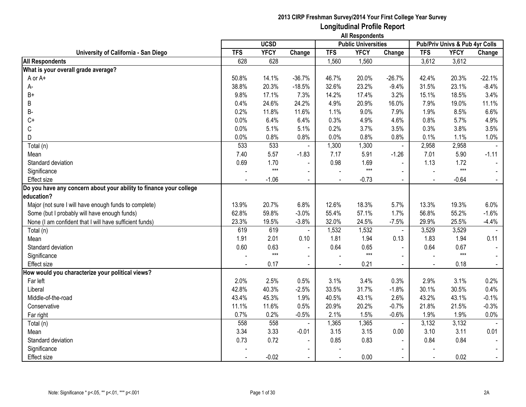|                                                                    |            | <b>UCSD</b> |                          |            | <b>Public Universities</b> |                |            | Pub/Priv Univs & Pub 4yr Colls |                |
|--------------------------------------------------------------------|------------|-------------|--------------------------|------------|----------------------------|----------------|------------|--------------------------------|----------------|
| University of California - San Diego                               | <b>TFS</b> | <b>YFCY</b> | Change                   | <b>TFS</b> | <b>YFCY</b>                | Change         | <b>TFS</b> | <b>YFCY</b>                    | Change         |
| <b>All Respondents</b>                                             | 628        | 628         |                          | 1,560      | 1,560                      |                | 3,612      | 3,612                          |                |
| What is your overall grade average?                                |            |             |                          |            |                            |                |            |                                |                |
| A or A+                                                            | 50.8%      | 14.1%       | $-36.7%$                 | 46.7%      | 20.0%                      | $-26.7%$       | 42.4%      | 20.3%                          | $-22.1%$       |
| А-                                                                 | 38.8%      | 20.3%       | $-18.5%$                 | 32.6%      | 23.2%                      | $-9.4%$        | 31.5%      | 23.1%                          | $-8.4%$        |
| $B+$                                                               | 9.8%       | 17.1%       | 7.3%                     | 14.2%      | 17.4%                      | 3.2%           | 15.1%      | 18.5%                          | 3.4%           |
| В                                                                  | 0.4%       | 24.6%       | 24.2%                    | 4.9%       | 20.9%                      | 16.0%          | 7.9%       | 19.0%                          | 11.1%          |
| <b>B-</b>                                                          | 0.2%       | 11.8%       | 11.6%                    | 1.1%       | 9.0%                       | 7.9%           | 1.9%       | 8.5%                           | 6.6%           |
| $C+$                                                               | 0.0%       | 6.4%        | 6.4%                     | 0.3%       | 4.9%                       | 4.6%           | 0.8%       | 5.7%                           | 4.9%           |
| C                                                                  | 0.0%       | 5.1%        | 5.1%                     | 0.2%       | 3.7%                       | 3.5%           | 0.3%       | 3.8%                           | 3.5%           |
| D                                                                  | 0.0%       | 0.8%        | 0.8%                     | 0.0%       | 0.8%                       | 0.8%           | 0.1%       | 1.1%                           | 1.0%           |
| Total (n)                                                          | 533        | 533         |                          | 1,300      | 1,300                      | $\blacksquare$ | 2,958      | 2,958                          |                |
| Mean                                                               | 7.40       | 5.57        | $-1.83$                  | 7.17       | 5.91                       | $-1.26$        | 7.01       | 5.90                           | $-1.11$        |
| Standard deviation                                                 | 0.69       | 1.70        |                          | 0.98       | 1.69                       | $\sim$         | 1.13       | 1.72                           |                |
| Significance                                                       |            | $***$       | $\blacksquare$           |            | $***$                      | $\blacksquare$ |            | $***$                          |                |
| <b>Effect size</b>                                                 |            | $-1.06$     | $\blacksquare$           |            | $-0.73$                    |                |            | $-0.64$                        | $\omega$ .     |
| Do you have any concern about your ability to finance your college |            |             |                          |            |                            |                |            |                                |                |
| education?                                                         |            |             |                          |            |                            |                |            |                                |                |
| Major (not sure I will have enough funds to complete)              | 13.9%      | 20.7%       | 6.8%                     | 12.6%      | 18.3%                      | 5.7%           | 13.3%      | 19.3%                          | 6.0%           |
| Some (but I probably will have enough funds)                       | 62.8%      | 59.8%       | $-3.0%$                  | 55.4%      | 57.1%                      | 1.7%           | 56.8%      | 55.2%                          | $-1.6%$        |
| None (I am confident that I will have sufficient funds)            | 23.3%      | 19.5%       | $-3.8%$                  | 32.0%      | 24.5%                      | $-7.5%$        | 29.9%      | 25.5%                          | $-4.4%$        |
| Total (n)                                                          | 619        | 619         | $\blacksquare$           | 1,532      | 1,532                      | $\sim$         | 3,529      | 3,529                          |                |
| Mean                                                               | 1.91       | 2.01        | 0.10                     | 1.81       | 1.94                       | 0.13           | 1.83       | 1.94                           | 0.11           |
| Standard deviation                                                 | 0.60       | 0.63        | $\blacksquare$           | 0.64       | 0.65                       | $\blacksquare$ | 0.64       | 0.67                           |                |
| Significance                                                       |            | $***$       | $\blacksquare$           |            | $***$                      | $\sim$         |            | $***$                          |                |
| Effect size                                                        |            | 0.17        | $\blacksquare$           |            | 0.21                       |                |            | 0.18                           | $\blacksquare$ |
| How would you characterize your political views?                   |            |             |                          |            |                            |                |            |                                |                |
| Far left                                                           | 2.0%       | 2.5%        | 0.5%                     | 3.1%       | 3.4%                       | 0.3%           | 2.9%       | 3.1%                           | 0.2%           |
| Liberal                                                            | 42.8%      | 40.3%       | $-2.5%$                  | 33.5%      | 31.7%                      | $-1.8%$        | 30.1%      | 30.5%                          | 0.4%           |
| Middle-of-the-road                                                 | 43.4%      | 45.3%       | 1.9%                     | 40.5%      | 43.1%                      | 2.6%           | 43.2%      | 43.1%                          | $-0.1%$        |
| Conservative                                                       | 11.1%      | 11.6%       | 0.5%                     | 20.9%      | 20.2%                      | $-0.7%$        | 21.8%      | 21.5%                          | $-0.3%$        |
| Far right                                                          | 0.7%       | 0.2%        | $-0.5%$                  | 2.1%       | 1.5%                       | $-0.6%$        | 1.9%       | 1.9%                           | 0.0%           |
| Total (n)                                                          | 558        | 558         |                          | 1,365      | 1,365                      | $\blacksquare$ | 3,132      | 3,132                          |                |
| Mean                                                               | 3.34       | 3.33        | $-0.01$                  | 3.15       | 3.15                       | 0.00           | 3.10       | 3.11                           | 0.01           |
| Standard deviation                                                 | 0.73       | 0.72        | $\overline{\phantom{a}}$ | 0.85       | 0.83                       | $\blacksquare$ | 0.84       | 0.84                           |                |
| Significance                                                       |            |             | $\overline{\phantom{a}}$ |            |                            |                |            |                                |                |
| <b>Effect size</b>                                                 |            | $-0.02$     |                          |            | 0.00                       |                |            | 0.02                           |                |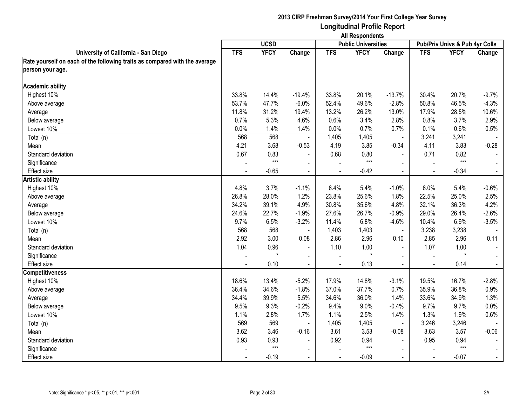|                                                                            | <b>All Respondents</b> |             |                          |                |                            |                |                                |             |                |
|----------------------------------------------------------------------------|------------------------|-------------|--------------------------|----------------|----------------------------|----------------|--------------------------------|-------------|----------------|
|                                                                            |                        | <b>UCSD</b> |                          |                | <b>Public Universities</b> |                | Pub/Priv Univs & Pub 4yr Colls |             |                |
| University of California - San Diego                                       | <b>TFS</b>             | <b>YFCY</b> | Change                   | <b>TFS</b>     | <b>YFCY</b>                | Change         | <b>TFS</b>                     | <b>YFCY</b> | Change         |
| Rate yourself on each of the following traits as compared with the average |                        |             |                          |                |                            |                |                                |             |                |
| person your age.                                                           |                        |             |                          |                |                            |                |                                |             |                |
| <b>Academic ability</b>                                                    |                        |             |                          |                |                            |                |                                |             |                |
| Highest 10%                                                                | 33.8%                  | 14.4%       | $-19.4%$                 | 33.8%          | 20.1%                      | $-13.7%$       | 30.4%                          | 20.7%       | $-9.7%$        |
| Above average                                                              | 53.7%                  | 47.7%       | $-6.0%$                  | 52.4%          | 49.6%                      | $-2.8%$        | 50.8%                          | 46.5%       | $-4.3%$        |
| Average                                                                    | 11.8%                  | 31.2%       | 19.4%                    | 13.2%          | 26.2%                      | 13.0%          | 17.9%                          | 28.5%       | 10.6%          |
| Below average                                                              | 0.7%                   | 5.3%        | 4.6%                     | 0.6%           | 3.4%                       | 2.8%           | 0.8%                           | 3.7%        | 2.9%           |
| Lowest 10%                                                                 | 0.0%                   | 1.4%        | 1.4%                     | 0.0%           | 0.7%                       | 0.7%           | 0.1%                           | 0.6%        | 0.5%           |
| Total (n)                                                                  | 568                    | 568         |                          | 1,405          | 1,405                      | ä,             | 3,241                          | 3,241       |                |
| Mean                                                                       | 4.21                   | 3.68        | $-0.53$                  | 4.19           | 3.85                       | $-0.34$        | 4.11                           | 3.83        | $-0.28$        |
| Standard deviation                                                         | 0.67                   | 0.83        |                          | 0.68           | 0.80                       |                | 0.71                           | 0.82        |                |
| Significance                                                               |                        | $***$       | $\blacksquare$           |                | $***$                      | $\blacksquare$ |                                | $***$       | $\sim$         |
| <b>Effect size</b>                                                         | $\sim$                 | $-0.65$     | $\blacksquare$           | $\blacksquare$ | $-0.42$                    | $\sim$         | $\blacksquare$                 | $-0.34$     | $\sim$         |
| <b>Artistic ability</b>                                                    |                        |             |                          |                |                            |                |                                |             |                |
| Highest 10%                                                                | 4.8%                   | 3.7%        | $-1.1%$                  | 6.4%           | 5.4%                       | $-1.0%$        | 6.0%                           | 5.4%        | $-0.6%$        |
| Above average                                                              | 26.8%                  | 28.0%       | 1.2%                     | 23.8%          | 25.6%                      | 1.8%           | 22.5%                          | 25.0%       | 2.5%           |
| Average                                                                    | 34.2%                  | 39.1%       | 4.9%                     | 30.8%          | 35.6%                      | 4.8%           | 32.1%                          | 36.3%       | 4.2%           |
| Below average                                                              | 24.6%                  | 22.7%       | $-1.9%$                  | 27.6%          | 26.7%                      | $-0.9%$        | 29.0%                          | 26.4%       | $-2.6%$        |
| Lowest 10%                                                                 | 9.7%                   | 6.5%        | $-3.2%$                  | 11.4%          | 6.8%                       | $-4.6%$        | 10.4%                          | 6.9%        | $-3.5%$        |
| Total (n)                                                                  | 568                    | 568         |                          | 1,403          | 1,403                      | $\blacksquare$ | 3,238                          | 3,238       |                |
| Mean                                                                       | 2.92                   | 3.00        | 0.08                     | 2.86           | 2.96                       | 0.10           | 2.85                           | 2.96        | 0.11           |
| Standard deviation                                                         | 1.04                   | 0.96        | $\blacksquare$           | 1.10           | 1.00                       | $\blacksquare$ | 1.07                           | 1.00        | $\sim$         |
| Significance                                                               |                        |             | $\blacksquare$           |                |                            | $\blacksquare$ |                                | $\star$     |                |
| <b>Effect size</b>                                                         |                        | 0.10        | $\sim$                   |                | 0.13                       |                |                                | 0.14        | $\sim$         |
| <b>Competitiveness</b>                                                     |                        |             |                          |                |                            |                |                                |             |                |
| Highest 10%                                                                | 18.6%                  | 13.4%       | $-5.2%$                  | 17.9%          | 14.8%                      | $-3.1%$        | 19.5%                          | 16.7%       | $-2.8%$        |
| Above average                                                              | 36.4%                  | 34.6%       | $-1.8%$                  | 37.0%          | 37.7%                      | 0.7%           | 35.9%                          | 36.8%       | 0.9%           |
| Average                                                                    | 34.4%                  | 39.9%       | 5.5%                     | 34.6%          | 36.0%                      | 1.4%           | 33.6%                          | 34.9%       | 1.3%           |
| Below average                                                              | 9.5%                   | 9.3%        | $-0.2%$                  | 9.4%           | 9.0%                       | $-0.4%$        | 9.7%                           | 9.7%        | 0.0%           |
| Lowest 10%                                                                 | 1.1%                   | 2.8%        | 1.7%                     | 1.1%           | 2.5%                       | 1.4%           | 1.3%                           | 1.9%        | 0.6%           |
| Total (n)                                                                  | 569                    | 569         | $\blacksquare$           | 1,405          | 1,405                      | $\blacksquare$ | 3,246                          | 3,246       |                |
| Mean                                                                       | 3.62                   | 3.46        | $-0.16$                  | 3.61           | 3.53                       | $-0.08$        | 3.63                           | 3.57        | $-0.06$        |
| Standard deviation                                                         | 0.93                   | 0.93        |                          | 0.92           | 0.94                       | $\blacksquare$ | 0.95                           | 0.94        | $\blacksquare$ |
| Significance                                                               |                        | $***$       | $\overline{\phantom{a}}$ |                | $***$                      |                |                                | $***$       | $\sim$         |
| Effect size                                                                |                        | $-0.19$     | $\blacksquare$           | $\overline{a}$ | $-0.09$                    | $\sim$         |                                | $-0.07$     | $\sim$         |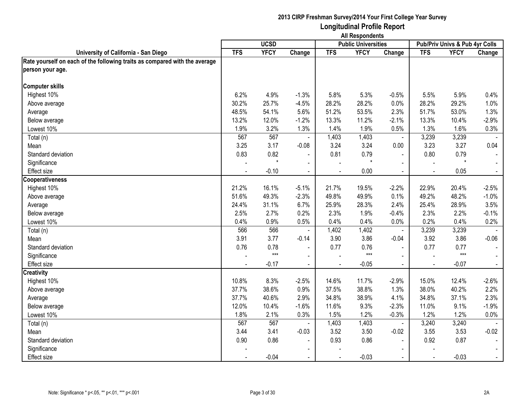|                                                                            | <b>All Respondents</b> |             |                |                |                            |                          |                                |             |                |
|----------------------------------------------------------------------------|------------------------|-------------|----------------|----------------|----------------------------|--------------------------|--------------------------------|-------------|----------------|
|                                                                            |                        | <b>UCSD</b> |                |                | <b>Public Universities</b> |                          | Pub/Priv Univs & Pub 4yr Colls |             |                |
| University of California - San Diego                                       | <b>TFS</b>             | <b>YFCY</b> | Change         | <b>TFS</b>     | <b>YFCY</b>                | Change                   | <b>TFS</b>                     | <b>YFCY</b> | Change         |
| Rate yourself on each of the following traits as compared with the average |                        |             |                |                |                            |                          |                                |             |                |
| person your age.                                                           |                        |             |                |                |                            |                          |                                |             |                |
| <b>Computer skills</b>                                                     |                        |             |                |                |                            |                          |                                |             |                |
| Highest 10%                                                                | 6.2%                   | 4.9%        | $-1.3%$        | 5.8%           | 5.3%                       | $-0.5%$                  | 5.5%                           | 5.9%        | 0.4%           |
| Above average                                                              | 30.2%                  | 25.7%       | $-4.5%$        | 28.2%          | 28.2%                      | 0.0%                     | 28.2%                          | 29.2%       | 1.0%           |
| Average                                                                    | 48.5%                  | 54.1%       | 5.6%           | 51.2%          | 53.5%                      | 2.3%                     | 51.7%                          | 53.0%       | 1.3%           |
| Below average                                                              | 13.2%                  | 12.0%       | $-1.2%$        | 13.3%          | 11.2%                      | $-2.1%$                  | 13.3%                          | 10.4%       | $-2.9%$        |
| Lowest 10%                                                                 | 1.9%                   | 3.2%        | 1.3%           | 1.4%           | 1.9%                       | 0.5%                     | 1.3%                           | 1.6%        | 0.3%           |
| Total (n)                                                                  | 567                    | 567         |                | 1,403          | 1,403                      | $\blacksquare$           | 3,239                          | 3,239       |                |
| Mean                                                                       | 3.25                   | 3.17        | $-0.08$        | 3.24           | 3.24                       | 0.00                     | 3.23                           | 3.27        | 0.04           |
| Standard deviation                                                         | 0.83                   | 0.82        |                | 0.81           | 0.79                       | $\blacksquare$           | 0.80                           | 0.79        |                |
| Significance                                                               |                        | $\star$     | $\blacksquare$ | $\blacksquare$ | $\star$                    | $\blacksquare$           |                                | $\star$     | $\sim$         |
| <b>Effect size</b>                                                         | $\sim$                 | $-0.10$     | $\sim$         | $\blacksquare$ | 0.00                       | $\sim$                   | $\blacksquare$                 | 0.05        | $\sim$         |
| Cooperativeness                                                            |                        |             |                |                |                            |                          |                                |             |                |
| Highest 10%                                                                | 21.2%                  | 16.1%       | $-5.1%$        | 21.7%          | 19.5%                      | $-2.2%$                  | 22.9%                          | 20.4%       | $-2.5%$        |
| Above average                                                              | 51.6%                  | 49.3%       | $-2.3%$        | 49.8%          | 49.9%                      | 0.1%                     | 49.2%                          | 48.2%       | $-1.0%$        |
| Average                                                                    | 24.4%                  | 31.1%       | 6.7%           | 25.9%          | 28.3%                      | 2.4%                     | 25.4%                          | 28.9%       | 3.5%           |
| Below average                                                              | 2.5%                   | 2.7%        | 0.2%           | 2.3%           | 1.9%                       | $-0.4%$                  | 2.3%                           | 2.2%        | $-0.1%$        |
| Lowest 10%                                                                 | 0.4%                   | 0.9%        | 0.5%           | 0.4%           | 0.4%                       | 0.0%                     | 0.2%                           | 0.4%        | 0.2%           |
| Total (n)                                                                  | 566                    | 566         |                | 1,402          | 1,402                      | $\blacksquare$           | 3,239                          | 3,239       |                |
| Mean                                                                       | 3.91                   | 3.77        | $-0.14$        | 3.90           | 3.86                       | $-0.04$                  | 3.92                           | 3.86        | $-0.06$        |
| Standard deviation                                                         | 0.76                   | 0.78        | $\blacksquare$ | 0.77           | 0.76                       | $\blacksquare$           | 0.77                           | 0.77        | $\blacksquare$ |
| Significance                                                               |                        | $***$       | $\blacksquare$ |                | $***$                      | $\blacksquare$           |                                | $***$       |                |
| Effect size                                                                |                        | $-0.17$     | $\sim$         |                | $-0.05$                    |                          |                                | $-0.07$     | $\sim$         |
| <b>Creativity</b>                                                          |                        |             |                |                |                            |                          |                                |             |                |
| Highest 10%                                                                | 10.8%                  | 8.3%        | $-2.5%$        | 14.6%          | 11.7%                      | $-2.9%$                  | 15.0%                          | 12.4%       | $-2.6%$        |
| Above average                                                              | 37.7%                  | 38.6%       | 0.9%           | 37.5%          | 38.8%                      | 1.3%                     | 38.0%                          | 40.2%       | 2.2%           |
| Average                                                                    | 37.7%                  | 40.6%       | 2.9%           | 34.8%          | 38.9%                      | 4.1%                     | 34.8%                          | 37.1%       | 2.3%           |
| Below average                                                              | 12.0%                  | 10.4%       | $-1.6%$        | 11.6%          | 9.3%                       | $-2.3%$                  | 11.0%                          | 9.1%        | $-1.9%$        |
| Lowest 10%                                                                 | 1.8%                   | 2.1%        | 0.3%           | 1.5%           | 1.2%                       | $-0.3%$                  | 1.2%                           | 1.2%        | 0.0%           |
| Total (n)                                                                  | 567                    | 567         |                | 1,403          | 1,403                      | $\blacksquare$           | 3,240                          | 3,240       |                |
| Mean                                                                       | 3.44                   | 3.41        | $-0.03$        | 3.52           | 3.50                       | $-0.02$                  | 3.55                           | 3.53        | $-0.02$        |
| Standard deviation                                                         | 0.90                   | 0.86        |                | 0.93           | 0.86                       | $\blacksquare$           | 0.92                           | 0.87        | $\blacksquare$ |
| Significance                                                               |                        |             |                |                |                            | $\overline{\phantom{0}}$ |                                |             |                |
| Effect size                                                                |                        | $-0.04$     | $\blacksquare$ | $\sim$         | $-0.03$                    | $\sim$                   |                                | $-0.03$     | $\sim$         |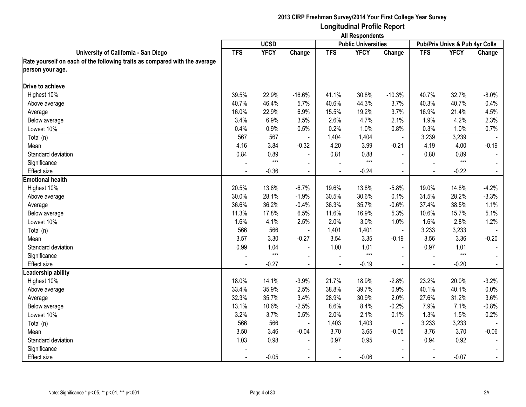|                                                                            | <b>All Respondents</b> |             |                          |                |                            |                |                                |             |                |
|----------------------------------------------------------------------------|------------------------|-------------|--------------------------|----------------|----------------------------|----------------|--------------------------------|-------------|----------------|
|                                                                            |                        | <b>UCSD</b> |                          |                | <b>Public Universities</b> |                | Pub/Priv Univs & Pub 4yr Colls |             |                |
| University of California - San Diego                                       | <b>TFS</b>             | <b>YFCY</b> | Change                   | <b>TFS</b>     | <b>YFCY</b>                | Change         | <b>TFS</b>                     | <b>YFCY</b> | Change         |
| Rate yourself on each of the following traits as compared with the average |                        |             |                          |                |                            |                |                                |             |                |
| person your age.                                                           |                        |             |                          |                |                            |                |                                |             |                |
| Drive to achieve                                                           |                        |             |                          |                |                            |                |                                |             |                |
| Highest 10%                                                                | 39.5%                  | 22.9%       | $-16.6%$                 | 41.1%          | 30.8%                      | $-10.3%$       | 40.7%                          | 32.7%       | $-8.0\%$       |
| Above average                                                              | 40.7%                  | 46.4%       | 5.7%                     | 40.6%          | 44.3%                      | 3.7%           | 40.3%                          | 40.7%       | 0.4%           |
| Average                                                                    | 16.0%                  | 22.9%       | 6.9%                     | 15.5%          | 19.2%                      | 3.7%           | 16.9%                          | 21.4%       | 4.5%           |
| Below average                                                              | 3.4%                   | 6.9%        | 3.5%                     | 2.6%           | 4.7%                       | 2.1%           | 1.9%                           | 4.2%        | 2.3%           |
| Lowest 10%                                                                 | 0.4%                   | 0.9%        | 0.5%                     | 0.2%           | 1.0%                       | 0.8%           | 0.3%                           | 1.0%        | 0.7%           |
| Total (n)                                                                  | 567                    | 567         |                          | 1,404          | 1,404                      | $\blacksquare$ | 3,239                          | 3,239       |                |
| Mean                                                                       | 4.16                   | 3.84        | $-0.32$                  | 4.20           | 3.99                       | $-0.21$        | 4.19                           | 4.00        | $-0.19$        |
| Standard deviation                                                         | 0.84                   | 0.89        |                          | 0.81           | 0.88                       | $\blacksquare$ | 0.80                           | 0.89        |                |
| Significance                                                               |                        | $***$       | $\blacksquare$           |                | $***$                      | $\blacksquare$ |                                | $***$       | $\sim$         |
| <b>Effect size</b>                                                         | $\sim$                 | $-0.36$     | $\blacksquare$           | $\blacksquare$ | $-0.24$                    | $\sim$         | $\blacksquare$                 | $-0.22$     | $\sim$         |
| <b>Emotional health</b>                                                    |                        |             |                          |                |                            |                |                                |             |                |
| Highest 10%                                                                | 20.5%                  | 13.8%       | $-6.7%$                  | 19.6%          | 13.8%                      | $-5.8%$        | 19.0%                          | 14.8%       | $-4.2%$        |
| Above average                                                              | 30.0%                  | 28.1%       | $-1.9%$                  | 30.5%          | 30.6%                      | 0.1%           | 31.5%                          | 28.2%       | $-3.3%$        |
| Average                                                                    | 36.6%                  | 36.2%       | $-0.4%$                  | 36.3%          | 35.7%                      | $-0.6%$        | 37.4%                          | 38.5%       | 1.1%           |
| Below average                                                              | 11.3%                  | 17.8%       | 6.5%                     | 11.6%          | 16.9%                      | 5.3%           | 10.6%                          | 15.7%       | 5.1%           |
| Lowest 10%                                                                 | 1.6%                   | 4.1%        | 2.5%                     | 2.0%           | 3.0%                       | 1.0%           | 1.6%                           | 2.8%        | 1.2%           |
| Total (n)                                                                  | 566                    | 566         |                          | 1,401          | 1,401                      | $\blacksquare$ | 3,233                          | 3,233       |                |
| Mean                                                                       | 3.57                   | 3.30        | $-0.27$                  | 3.54           | 3.35                       | $-0.19$        | 3.56                           | 3.36        | $-0.20$        |
| Standard deviation                                                         | 0.99                   | 1.04        | $\blacksquare$           | 1.00           | 1.01                       | $\blacksquare$ | 0.97                           | 1.01        | $\sim$         |
| Significance                                                               |                        | $***$       | $\blacksquare$           |                | $***$                      | $\blacksquare$ |                                | $***$       |                |
| <b>Effect size</b>                                                         |                        | $-0.27$     |                          |                | $-0.19$                    |                |                                | $-0.20$     | $\sim$         |
| Leadership ability                                                         |                        |             |                          |                |                            |                |                                |             |                |
| Highest 10%                                                                | 18.0%                  | 14.1%       | $-3.9%$                  | 21.7%          | 18.9%                      | $-2.8%$        | 23.2%                          | 20.0%       | $-3.2%$        |
| Above average                                                              | 33.4%                  | 35.9%       | 2.5%                     | 38.8%          | 39.7%                      | 0.9%           | 40.1%                          | 40.1%       | 0.0%           |
| Average                                                                    | 32.3%                  | 35.7%       | 3.4%                     | 28.9%          | 30.9%                      | 2.0%           | 27.6%                          | 31.2%       | 3.6%           |
| Below average                                                              | 13.1%                  | 10.6%       | $-2.5%$                  | 8.6%           | 8.4%                       | $-0.2%$        | 7.9%                           | 7.1%        | $-0.8%$        |
| Lowest 10%                                                                 | 3.2%                   | 3.7%        | 0.5%                     | 2.0%           | 2.1%                       | 0.1%           | 1.3%                           | 1.5%        | 0.2%           |
| Total (n)                                                                  | 566                    | 566         | $\overline{\phantom{a}}$ | 1,403          | 1,403                      | $\blacksquare$ | 3,233                          | 3,233       |                |
| Mean                                                                       | 3.50                   | 3.46        | $-0.04$                  | 3.70           | 3.65                       | $-0.05$        | 3.76                           | 3.70        | $-0.06$        |
| Standard deviation                                                         | 1.03                   | 0.98        |                          | 0.97           | 0.95                       | $\blacksquare$ | 0.94                           | 0.92        | $\blacksquare$ |
| Significance                                                               |                        |             |                          |                |                            |                |                                |             |                |
| Effect size                                                                | $\blacksquare$         | $-0.05$     | $\blacksquare$           | $\sim$         | $-0.06$                    | $\sim$         |                                | $-0.07$     | $\sim$         |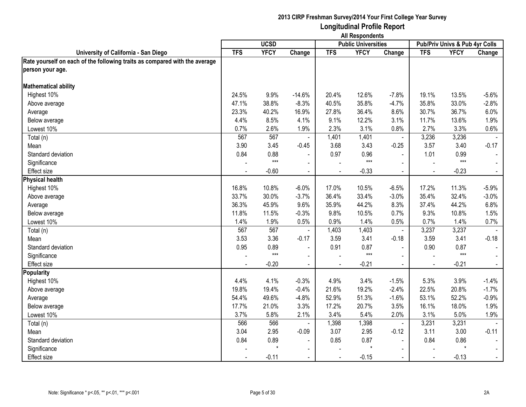|                                                                            | <b>All Respondents</b> |             |                |                          |                            |                          |                                |             |                |
|----------------------------------------------------------------------------|------------------------|-------------|----------------|--------------------------|----------------------------|--------------------------|--------------------------------|-------------|----------------|
|                                                                            |                        | <b>UCSD</b> |                |                          | <b>Public Universities</b> |                          | Pub/Priv Univs & Pub 4yr Colls |             |                |
| University of California - San Diego                                       | <b>TFS</b>             | <b>YFCY</b> | Change         | <b>TFS</b>               | <b>YFCY</b>                | Change                   | <b>TFS</b>                     | <b>YFCY</b> | Change         |
| Rate yourself on each of the following traits as compared with the average |                        |             |                |                          |                            |                          |                                |             |                |
| person your age.                                                           |                        |             |                |                          |                            |                          |                                |             |                |
| <b>Mathematical ability</b>                                                |                        |             |                |                          |                            |                          |                                |             |                |
| Highest 10%                                                                | 24.5%                  | 9.9%        | $-14.6%$       | 20.4%                    | 12.6%                      | $-7.8%$                  | 19.1%                          | 13.5%       | $-5.6%$        |
| Above average                                                              | 47.1%                  | 38.8%       | $-8.3%$        | 40.5%                    | 35.8%                      | $-4.7%$                  | 35.8%                          | 33.0%       | $-2.8%$        |
| Average                                                                    | 23.3%                  | 40.2%       | 16.9%          | 27.8%                    | 36.4%                      | 8.6%                     | 30.7%                          | 36.7%       | 6.0%           |
| Below average                                                              | 4.4%                   | 8.5%        | 4.1%           | 9.1%                     | 12.2%                      | 3.1%                     | 11.7%                          | 13.6%       | 1.9%           |
| Lowest 10%                                                                 | 0.7%                   | 2.6%        | 1.9%           | 2.3%                     | 3.1%                       | 0.8%                     | 2.7%                           | 3.3%        | 0.6%           |
| Total (n)                                                                  | 567                    | 567         |                | 1,401                    | 1,401                      | $\blacksquare$           | 3,236                          | 3,236       |                |
| Mean                                                                       | 3.90                   | 3.45        | $-0.45$        | 3.68                     | 3.43                       | $-0.25$                  | 3.57                           | 3.40        | $-0.17$        |
| Standard deviation                                                         | 0.84                   | 0.88        |                | 0.97                     | 0.96                       |                          | 1.01                           | 0.99        |                |
| Significance                                                               |                        | $***$       | $\blacksquare$ |                          | $***$                      | $\blacksquare$           |                                | $***$       | $\sim$         |
| <b>Effect size</b>                                                         | $\sim$                 | $-0.60$     | $\sim$         | $\blacksquare$           | $-0.33$                    | $\sim$                   | $\blacksquare$                 | $-0.23$     | $\sim$         |
| <b>Physical health</b>                                                     |                        |             |                |                          |                            |                          |                                |             |                |
| Highest 10%                                                                | 16.8%                  | 10.8%       | $-6.0%$        | 17.0%                    | 10.5%                      | $-6.5%$                  | 17.2%                          | 11.3%       | $-5.9%$        |
| Above average                                                              | 33.7%                  | 30.0%       | $-3.7%$        | 36.4%                    | 33.4%                      | $-3.0%$                  | 35.4%                          | 32.4%       | $-3.0%$        |
| Average                                                                    | 36.3%                  | 45.9%       | 9.6%           | 35.9%                    | 44.2%                      | 8.3%                     | 37.4%                          | 44.2%       | 6.8%           |
| Below average                                                              | 11.8%                  | 11.5%       | $-0.3%$        | 9.8%                     | 10.5%                      | 0.7%                     | 9.3%                           | 10.8%       | 1.5%           |
| Lowest 10%                                                                 | 1.4%                   | 1.9%        | 0.5%           | 0.9%                     | 1.4%                       | 0.5%                     | 0.7%                           | 1.4%        | 0.7%           |
| Total (n)                                                                  | 567                    | 567         |                | 1,403                    | 1,403                      | $\blacksquare$           | 3,237                          | 3,237       |                |
| Mean                                                                       | 3.53                   | 3.36        | $-0.17$        | 3.59                     | 3.41                       | $-0.18$                  | 3.59                           | 3.41        | $-0.18$        |
| Standard deviation                                                         | 0.95                   | 0.89        | $\blacksquare$ | 0.91                     | 0.87                       | $\blacksquare$           | 0.90                           | 0.87        | $\sim$         |
| Significance                                                               |                        | $***$       | $\blacksquare$ |                          | $***$                      | $\blacksquare$           |                                | $***$       |                |
| <b>Effect size</b>                                                         |                        | $-0.20$     |                |                          | $-0.21$                    |                          |                                | $-0.21$     | $\sim$         |
| <b>Popularity</b>                                                          |                        |             |                |                          |                            |                          |                                |             |                |
| Highest 10%                                                                | 4.4%                   | 4.1%        | $-0.3%$        | 4.9%                     | 3.4%                       | $-1.5%$                  | 5.3%                           | 3.9%        | $-1.4%$        |
| Above average                                                              | 19.8%                  | 19.4%       | $-0.4%$        | 21.6%                    | 19.2%                      | $-2.4%$                  | 22.5%                          | 20.8%       | $-1.7%$        |
| Average                                                                    | 54.4%                  | 49.6%       | $-4.8%$        | 52.9%                    | 51.3%                      | $-1.6%$                  | 53.1%                          | 52.2%       | $-0.9%$        |
| Below average                                                              | 17.7%                  | 21.0%       | 3.3%           | 17.2%                    | 20.7%                      | 3.5%                     | 16.1%                          | 18.0%       | 1.9%           |
| Lowest 10%                                                                 | 3.7%                   | 5.8%        | 2.1%           | 3.4%                     | 5.4%                       | 2.0%                     | 3.1%                           | 5.0%        | 1.9%           |
| Total (n)                                                                  | 566                    | 566         |                | 1,398                    | 1,398                      | $\blacksquare$           | 3,231                          | 3,231       |                |
| Mean                                                                       | 3.04                   | 2.95        | $-0.09$        | 3.07                     | 2.95                       | $-0.12$                  | 3.11                           | 3.00        | $-0.11$        |
| Standard deviation                                                         | 0.84                   | 0.89        |                | 0.85                     | 0.87                       | $\blacksquare$           | 0.84                           | 0.86        | $\blacksquare$ |
| Significance                                                               |                        |             |                |                          | $\star$                    | $\overline{\phantom{0}}$ |                                |             | $\blacksquare$ |
| <b>Effect size</b>                                                         |                        | $-0.11$     | $\blacksquare$ | $\overline{\phantom{a}}$ | $-0.15$                    | $\sim$                   |                                | $-0.13$     | $\sim$         |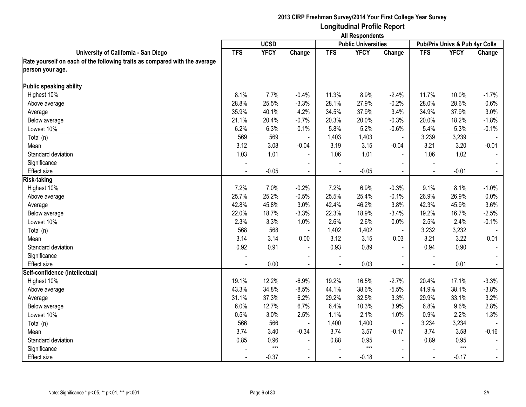|                                                                            | <b>All Respondents</b> |             |                          |                          |                            |                          |                                |             |                |
|----------------------------------------------------------------------------|------------------------|-------------|--------------------------|--------------------------|----------------------------|--------------------------|--------------------------------|-------------|----------------|
|                                                                            |                        | <b>UCSD</b> |                          |                          | <b>Public Universities</b> |                          | Pub/Priv Univs & Pub 4yr Colls |             |                |
| University of California - San Diego                                       | <b>TFS</b>             | <b>YFCY</b> | Change                   | <b>TFS</b>               | <b>YFCY</b>                | Change                   | <b>TFS</b>                     | <b>YFCY</b> | Change         |
| Rate yourself on each of the following traits as compared with the average |                        |             |                          |                          |                            |                          |                                |             |                |
| person your age.                                                           |                        |             |                          |                          |                            |                          |                                |             |                |
| Public speaking ability                                                    |                        |             |                          |                          |                            |                          |                                |             |                |
| Highest 10%                                                                | 8.1%                   | 7.7%        | $-0.4%$                  | 11.3%                    | 8.9%                       | $-2.4%$                  | 11.7%                          | 10.0%       | $-1.7%$        |
| Above average                                                              | 28.8%                  | 25.5%       | $-3.3%$                  | 28.1%                    | 27.9%                      | $-0.2%$                  | 28.0%                          | 28.6%       | 0.6%           |
| Average                                                                    | 35.9%                  | 40.1%       | 4.2%                     | 34.5%                    | 37.9%                      | 3.4%                     | 34.9%                          | 37.9%       | 3.0%           |
| Below average                                                              | 21.1%                  | 20.4%       | $-0.7%$                  | 20.3%                    | 20.0%                      | $-0.3%$                  | 20.0%                          | 18.2%       | $-1.8%$        |
| Lowest 10%                                                                 | 6.2%                   | 6.3%        | 0.1%                     | 5.8%                     | 5.2%                       | $-0.6%$                  | 5.4%                           | 5.3%        | $-0.1%$        |
| Total (n)                                                                  | 569                    | 569         |                          | 1,403                    | 1,403                      | ä,                       | 3,239                          | 3,239       |                |
| Mean                                                                       | 3.12                   | 3.08        | $-0.04$                  | 3.19                     | 3.15                       | $-0.04$                  | 3.21                           | 3.20        | $-0.01$        |
| Standard deviation                                                         | 1.03                   | 1.01        |                          | 1.06                     | 1.01                       | $\blacksquare$           | 1.06                           | 1.02        |                |
| Significance                                                               |                        |             | $\blacksquare$           |                          |                            | $\blacksquare$           |                                |             | $\blacksquare$ |
| <b>Effect size</b>                                                         | $\sim$                 | $-0.05$     | $\sim$                   | $\blacksquare$           | $-0.05$                    | $\sim$                   | $\blacksquare$                 | $-0.01$     | $\sim$         |
| <b>Risk-taking</b>                                                         |                        |             |                          |                          |                            |                          |                                |             |                |
| Highest 10%                                                                | 7.2%                   | 7.0%        | $-0.2%$                  | 7.2%                     | 6.9%                       | $-0.3%$                  | 9.1%                           | 8.1%        | $-1.0%$        |
| Above average                                                              | 25.7%                  | 25.2%       | $-0.5%$                  | 25.5%                    | 25.4%                      | $-0.1%$                  | 26.9%                          | 26.9%       | 0.0%           |
| Average                                                                    | 42.8%                  | 45.8%       | 3.0%                     | 42.4%                    | 46.2%                      | 3.8%                     | 42.3%                          | 45.9%       | 3.6%           |
| Below average                                                              | 22.0%                  | 18.7%       | $-3.3%$                  | 22.3%                    | 18.9%                      | $-3.4%$                  | 19.2%                          | 16.7%       | $-2.5%$        |
| Lowest 10%                                                                 | 2.3%                   | 3.3%        | 1.0%                     | 2.6%                     | 2.6%                       | 0.0%                     | 2.5%                           | 2.4%        | $-0.1%$        |
| Total (n)                                                                  | 568                    | 568         |                          | 1,402                    | 1,402                      | $\blacksquare$           | 3,232                          | 3,232       |                |
| Mean                                                                       | 3.14                   | 3.14        | 0.00                     | 3.12                     | 3.15                       | 0.03                     | 3.21                           | 3.22        | 0.01           |
| Standard deviation                                                         | 0.92                   | 0.91        | $\blacksquare$           | 0.93                     | 0.89                       | $\blacksquare$           | 0.94                           | 0.90        | $\sim$         |
| Significance                                                               |                        |             | $\blacksquare$           |                          |                            | $\blacksquare$           |                                |             |                |
| <b>Effect</b> size                                                         |                        | 0.00        |                          |                          | 0.03                       |                          |                                | 0.01        | $\sim$         |
| Self-confidence (intellectual)                                             |                        |             |                          |                          |                            |                          |                                |             |                |
| Highest 10%                                                                | 19.1%                  | 12.2%       | $-6.9%$                  | 19.2%                    | 16.5%                      | $-2.7%$                  | 20.4%                          | 17.1%       | $-3.3%$        |
| Above average                                                              | 43.3%                  | 34.8%       | $-8.5%$                  | 44.1%                    | 38.6%                      | $-5.5%$                  | 41.9%                          | 38.1%       | $-3.8%$        |
| Average                                                                    | 31.1%                  | 37.3%       | 6.2%                     | 29.2%                    | 32.5%                      | 3.3%                     | 29.9%                          | 33.1%       | 3.2%           |
| Below average                                                              | 6.0%                   | 12.7%       | 6.7%                     | 6.4%                     | 10.3%                      | 3.9%                     | 6.8%                           | 9.6%        | 2.8%           |
| Lowest 10%                                                                 | 0.5%                   | 3.0%        | 2.5%                     | 1.1%                     | 2.1%                       | 1.0%                     | 0.9%                           | 2.2%        | 1.3%           |
| Total (n)                                                                  | 566                    | 566         | $\sim$                   | 1,400                    | 1,400                      | $\blacksquare$           | 3,234                          | 3,234       |                |
| Mean                                                                       | 3.74                   | 3.40        | $-0.34$                  | 3.74                     | 3.57                       | $-0.17$                  | 3.74                           | 3.58        | $-0.16$        |
| Standard deviation                                                         | 0.85                   | 0.96        |                          | 0.88                     | 0.95                       | $\blacksquare$           | 0.89                           | 0.95        | $\blacksquare$ |
| Significance                                                               |                        | $***$       | $\overline{\phantom{a}}$ |                          | $***$                      | $\overline{\phantom{0}}$ |                                | $***$       | $\sim$         |
| <b>Effect size</b>                                                         |                        | $-0.37$     | $\blacksquare$           | $\overline{\phantom{a}}$ | $-0.18$                    | $\sim$                   |                                | $-0.17$     | $\sim$         |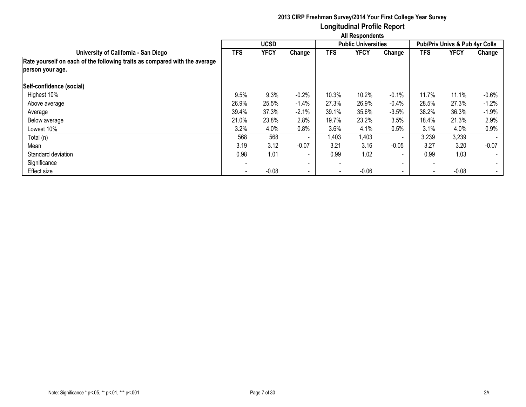|                                                                            | <b>All Respondents</b> |             |                          |                          |                            |                          |            |                                |         |  |  |  |
|----------------------------------------------------------------------------|------------------------|-------------|--------------------------|--------------------------|----------------------------|--------------------------|------------|--------------------------------|---------|--|--|--|
|                                                                            |                        | <b>UCSD</b> |                          |                          | <b>Public Universities</b> |                          |            | Pub/Priv Univs & Pub 4yr Colls |         |  |  |  |
| University of California - San Diego                                       | <b>TFS</b>             | <b>YFCY</b> | Change                   | TFS                      | <b>YFCY</b>                | Change                   | <b>TFS</b> | <b>YFCY</b>                    | Change  |  |  |  |
| Rate yourself on each of the following traits as compared with the average |                        |             |                          |                          |                            |                          |            |                                |         |  |  |  |
| person your age.                                                           |                        |             |                          |                          |                            |                          |            |                                |         |  |  |  |
| Self-confidence (social)                                                   |                        |             |                          |                          |                            |                          |            |                                |         |  |  |  |
| Highest 10%                                                                | 9.5%                   | 9.3%        | $-0.2%$                  | 10.3%                    | 10.2%                      | $-0.1%$                  | 11.7%      | 11.1%                          | $-0.6%$ |  |  |  |
| Above average                                                              | 26.9%                  | 25.5%       | $-1.4%$                  | 27.3%                    | 26.9%                      | $-0.4%$                  | 28.5%      | 27.3%                          | $-1.2%$ |  |  |  |
| Average                                                                    | 39.4%                  | 37.3%       | $-2.1%$                  | 39.1%                    | 35.6%                      | $-3.5%$                  | 38.2%      | 36.3%                          | $-1.9%$ |  |  |  |
| Below average                                                              | 21.0%                  | 23.8%       | 2.8%                     | 19.7%                    | 23.2%                      | 3.5%                     | 18.4%      | 21.3%                          | 2.9%    |  |  |  |
| Lowest 10%                                                                 | 3.2%                   | 4.0%        | 0.8%                     | 3.6%                     | 4.1%                       | 0.5%                     | 3.1%       | 4.0%                           | 0.9%    |  |  |  |
| Total (n)                                                                  | 568                    | 568         | $\sim$                   | 1,403                    | 1,403                      | $\sim$                   | 3,239      | 3,239                          |         |  |  |  |
| Mean                                                                       | 3.19                   | 3.12        | $-0.07$                  | 3.21                     | 3.16                       | $-0.05$                  | 3.27       | 3.20                           | $-0.07$ |  |  |  |
| Standard deviation                                                         | 0.98                   | 1.01        | $\overline{\phantom{a}}$ | 0.99                     | 1.02                       | $\overline{\phantom{0}}$ | 0.99       | 1.03                           | $\sim$  |  |  |  |
| Significance                                                               |                        |             | $\overline{\phantom{0}}$ | $\overline{\phantom{a}}$ |                            | $\overline{\phantom{0}}$ |            |                                | $\sim$  |  |  |  |
| <b>Effect size</b>                                                         |                        | $-0.08$     | $\overline{\phantom{a}}$ | $\overline{\phantom{a}}$ | $-0.06$                    | $\blacksquare$           | $\sim$     | $-0.08$                        | $\sim$  |  |  |  |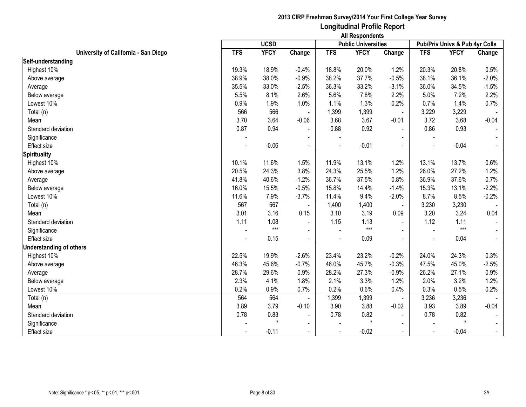|                                      | <b>UCSD</b> |             |                |                          | An neaponuema<br><b>Public Universities</b> |                | Pub/Priv Univs & Pub 4yr Colls |             |         |
|--------------------------------------|-------------|-------------|----------------|--------------------------|---------------------------------------------|----------------|--------------------------------|-------------|---------|
| University of California - San Diego | <b>TFS</b>  | <b>YFCY</b> | Change         | <b>TFS</b>               | <b>YFCY</b>                                 | Change         | <b>TFS</b>                     | <b>YFCY</b> | Change  |
| Self-understanding                   |             |             |                |                          |                                             |                |                                |             |         |
| Highest 10%                          | 19.3%       | 18.9%       | $-0.4%$        | 18.8%                    | 20.0%                                       | 1.2%           | 20.3%                          | 20.8%       | 0.5%    |
| Above average                        | 38.9%       | 38.0%       | $-0.9%$        | 38.2%                    | 37.7%                                       | $-0.5%$        | 38.1%                          | 36.1%       | $-2.0%$ |
| Average                              | 35.5%       | 33.0%       | $-2.5%$        | 36.3%                    | 33.2%                                       | $-3.1%$        | 36.0%                          | 34.5%       | $-1.5%$ |
| Below average                        | 5.5%        | 8.1%        | 2.6%           | 5.6%                     | 7.8%                                        | 2.2%           | 5.0%                           | 7.2%        | 2.2%    |
| Lowest 10%                           | 0.9%        | 1.9%        | 1.0%           | 1.1%                     | 1.3%                                        | 0.2%           | 0.7%                           | 1.4%        | 0.7%    |
| Total (n)                            | 566         | 566         |                | 1,399                    | 1,399                                       | $\blacksquare$ | 3,229                          | 3,229       |         |
| Mean                                 | 3.70        | 3.64        | $-0.06$        | 3.68                     | 3.67                                        | $-0.01$        | 3.72                           | 3.68        | $-0.04$ |
| Standard deviation                   | 0.87        | 0.94        |                | 0.88                     | 0.92                                        | $\blacksquare$ | 0.86                           | 0.93        |         |
| Significance                         |             |             |                |                          |                                             | $\blacksquare$ |                                |             |         |
| <b>Effect size</b>                   |             | $-0.06$     |                |                          | $-0.01$                                     | $\blacksquare$ |                                | $-0.04$     |         |
| <b>Spirituality</b>                  |             |             |                |                          |                                             |                |                                |             |         |
| Highest 10%                          | 10.1%       | 11.6%       | 1.5%           | 11.9%                    | 13.1%                                       | 1.2%           | 13.1%                          | 13.7%       | 0.6%    |
| Above average                        | 20.5%       | 24.3%       | 3.8%           | 24.3%                    | 25.5%                                       | 1.2%           | 26.0%                          | 27.2%       | 1.2%    |
| Average                              | 41.8%       | 40.6%       | $-1.2%$        | 36.7%                    | 37.5%                                       | 0.8%           | 36.9%                          | 37.6%       | 0.7%    |
| Below average                        | 16.0%       | 15.5%       | $-0.5%$        | 15.8%                    | 14.4%                                       | $-1.4%$        | 15.3%                          | 13.1%       | $-2.2%$ |
| Lowest 10%                           | 11.6%       | 7.9%        | $-3.7%$        | 11.4%                    | 9.4%                                        | $-2.0%$        | 8.7%                           | 8.5%        | $-0.2%$ |
| Total (n)                            | 567         | 567         |                | 1,400                    | 1,400                                       | $\blacksquare$ | 3,230                          | 3,230       |         |
| Mean                                 | 3.01        | 3.16        | 0.15           | 3.10                     | 3.19                                        | 0.09           | 3.20                           | 3.24        | 0.04    |
| Standard deviation                   | 1.11        | 1.08        |                | 1.15                     | 1.13                                        |                | 1.12                           | 1.11        |         |
| Significance                         |             | $***$       |                |                          | $***$                                       |                |                                | $***$       |         |
| <b>Effect size</b>                   |             | 0.15        | $\blacksquare$ |                          | 0.09                                        | $\blacksquare$ |                                | 0.04        | $\sim$  |
| <b>Understanding of others</b>       |             |             |                |                          |                                             |                |                                |             |         |
| Highest 10%                          | 22.5%       | 19.9%       | $-2.6%$        | 23.4%                    | 23.2%                                       | $-0.2%$        | 24.0%                          | 24.3%       | 0.3%    |
| Above average                        | 46.3%       | 45.6%       | $-0.7%$        | 46.0%                    | 45.7%                                       | $-0.3%$        | 47.5%                          | 45.0%       | $-2.5%$ |
| Average                              | 28.7%       | 29.6%       | 0.9%           | 28.2%                    | 27.3%                                       | $-0.9%$        | 26.2%                          | 27.1%       | 0.9%    |
| Below average                        | 2.3%        | 4.1%        | 1.8%           | 2.1%                     | 3.3%                                        | 1.2%           | 2.0%                           | 3.2%        | 1.2%    |
| Lowest 10%                           | 0.2%        | 0.9%        | 0.7%           | 0.2%                     | 0.6%                                        | 0.4%           | 0.3%                           | 0.5%        | 0.2%    |
| Total (n)                            | 564         | 564         |                | 1,399                    | 1,399                                       |                | 3,236                          | 3,236       |         |
| Mean                                 | 3.89        | 3.79        | $-0.10$        | 3.90                     | 3.88                                        | $-0.02$        | 3.93                           | 3.89        | $-0.04$ |
| Standard deviation                   | 0.78        | 0.83        | $\blacksquare$ | 0.78                     | 0.82                                        | $\sim$         | 0.78                           | 0.82        |         |
| Significance                         |             | $\star$     | $\blacksquare$ |                          | $\star$                                     | $\sim$         |                                | $\star$     |         |
| <b>Effect size</b>                   |             | $-0.11$     |                | $\overline{\phantom{a}}$ | $-0.02$                                     | $\sim$         |                                | $-0.04$     | $\sim$  |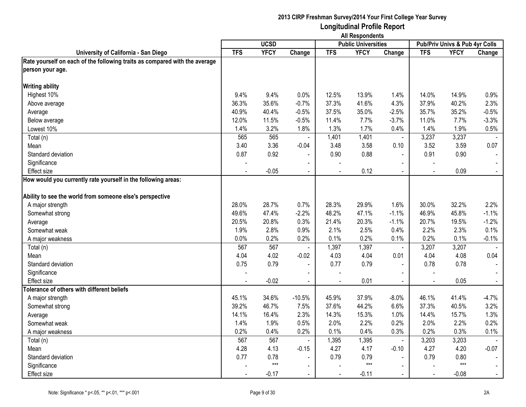|                                                                            | <b>All Respondents</b> |             |                |            |                            |                |            |                                |                |
|----------------------------------------------------------------------------|------------------------|-------------|----------------|------------|----------------------------|----------------|------------|--------------------------------|----------------|
|                                                                            |                        | <b>UCSD</b> |                |            | <b>Public Universities</b> |                |            | Pub/Priv Univs & Pub 4yr Colls |                |
| University of California - San Diego                                       | <b>TFS</b>             | <b>YFCY</b> | Change         | <b>TFS</b> | <b>YFCY</b>                | Change         | <b>TFS</b> | <b>YFCY</b>                    | Change         |
| Rate yourself on each of the following traits as compared with the average |                        |             |                |            |                            |                |            |                                |                |
| person your age.                                                           |                        |             |                |            |                            |                |            |                                |                |
| <b>Writing ability</b>                                                     |                        |             |                |            |                            |                |            |                                |                |
| Highest 10%                                                                | 9.4%                   | 9.4%        | 0.0%           | 12.5%      | 13.9%                      | 1.4%           | 14.0%      | 14.9%                          | 0.9%           |
| Above average                                                              | 36.3%                  | 35.6%       | $-0.7%$        | 37.3%      | 41.6%                      | 4.3%           | 37.9%      | 40.2%                          | 2.3%           |
| Average                                                                    | 40.9%                  | 40.4%       | $-0.5%$        | 37.5%      | 35.0%                      | $-2.5%$        | 35.7%      | 35.2%                          | $-0.5%$        |
| Below average                                                              | 12.0%                  | 11.5%       | $-0.5%$        | 11.4%      | 7.7%                       | $-3.7%$        | 11.0%      | 7.7%                           | $-3.3%$        |
| Lowest 10%                                                                 | 1.4%                   | 3.2%        | 1.8%           | 1.3%       | 1.7%                       | 0.4%           | 1.4%       | 1.9%                           | 0.5%           |
| Total (n)                                                                  | 565                    | 565         | $\blacksquare$ | 1,401      | 1,401                      | $\blacksquare$ | 3,237      | 3,237                          |                |
| Mean                                                                       | 3.40                   | 3.36        | $-0.04$        | 3.48       | 3.58                       | 0.10           | 3.52       | 3.59                           | 0.07           |
| Standard deviation                                                         | 0.87                   | 0.92        |                | 0.90       | 0.88                       | $\blacksquare$ | 0.91       | 0.90                           |                |
| Significance                                                               |                        |             |                |            |                            | $\sim$         |            |                                |                |
| Effect size                                                                |                        | $-0.05$     |                |            | 0.12                       |                |            | 0.09                           | $\omega$ .     |
| How would you currently rate yourself in the following areas:              |                        |             |                |            |                            |                |            |                                |                |
|                                                                            |                        |             |                |            |                            |                |            |                                |                |
| Ability to see the world from someone else's perspective                   |                        |             |                |            |                            |                |            |                                |                |
| A major strength                                                           | 28.0%                  | 28.7%       | 0.7%           | 28.3%      | 29.9%                      | 1.6%           | 30.0%      | 32.2%                          | 2.2%           |
| Somewhat strong                                                            | 49.6%                  | 47.4%       | $-2.2%$        | 48.2%      | 47.1%                      | $-1.1%$        | 46.9%      | 45.8%                          | $-1.1%$        |
| Average                                                                    | 20.5%                  | 20.8%       | 0.3%           | 21.4%      | 20.3%                      | $-1.1%$        | 20.7%      | 19.5%                          | $-1.2%$        |
| Somewhat weak                                                              | 1.9%                   | 2.8%        | 0.9%           | 2.1%       | 2.5%                       | 0.4%           | 2.2%       | 2.3%                           | 0.1%           |
| A major weakness                                                           | 0.0%                   | 0.2%        | 0.2%           | 0.1%       | 0.2%                       | 0.1%           | 0.2%       | 0.1%                           | $-0.1%$        |
| Total (n)                                                                  | 567                    | 567         | $\blacksquare$ | 1,397      | 1,397                      | $\blacksquare$ | 3,207      | 3,207                          |                |
| Mean                                                                       | 4.04                   | 4.02        | $-0.02$        | 4.03       | 4.04                       | 0.01           | 4.04       | 4.08                           | 0.04           |
| Standard deviation                                                         | 0.75                   | 0.79        | $\sim$         | 0.77       | 0.79                       | $\blacksquare$ | 0.78       | 0.78                           | $\sim$         |
| Significance                                                               |                        |             | $\blacksquare$ |            |                            | $\blacksquare$ |            |                                |                |
| <b>Effect size</b>                                                         |                        | $-0.02$     | $\blacksquare$ | $\sim$     | 0.01                       | $\blacksquare$ |            | 0.05                           | $\blacksquare$ |
| Tolerance of others with different beliefs                                 |                        |             |                |            |                            |                |            |                                |                |
| A major strength                                                           | 45.1%                  | 34.6%       | $-10.5%$       | 45.9%      | 37.9%                      | $-8.0%$        | 46.1%      | 41.4%                          | $-4.7%$        |
| Somewhat strong                                                            | 39.2%                  | 46.7%       | 7.5%           | 37.6%      | 44.2%                      | 6.6%           | 37.3%      | 40.5%                          | 3.2%           |
| Average                                                                    | 14.1%                  | 16.4%       | 2.3%           | 14.3%      | 15.3%                      | 1.0%           | 14.4%      | 15.7%                          | 1.3%           |
| Somewhat weak                                                              | 1.4%                   | 1.9%        | 0.5%           | 2.0%       | 2.2%                       | 0.2%           | 2.0%       | 2.2%                           | 0.2%           |
| A major weakness                                                           | 0.2%                   | 0.4%        | 0.2%           | 0.1%       | 0.4%                       | 0.3%           | 0.2%       | 0.3%                           | 0.1%           |
| Total (n)                                                                  | 567                    | 567         | $\blacksquare$ | 1,395      | 1,395                      | $\blacksquare$ | 3,203      | 3,203                          |                |
| Mean                                                                       | 4.28                   | 4.13        | $-0.15$        | 4.27       | 4.17                       | $-0.10$        | 4.27       | 4.20                           | $-0.07$        |
| Standard deviation                                                         | 0.77                   | 0.78        |                | 0.79       | 0.79                       | $\blacksquare$ | 0.79       | 0.80                           | $\blacksquare$ |
| Significance                                                               |                        | $***$       | $\sim$         |            | $***$                      | $\blacksquare$ |            | $***$                          |                |
| <b>Effect size</b>                                                         |                        | $-0.17$     | $\sim$         |            | $-0.11$                    | $\sim$         |            | $-0.08$                        | $\blacksquare$ |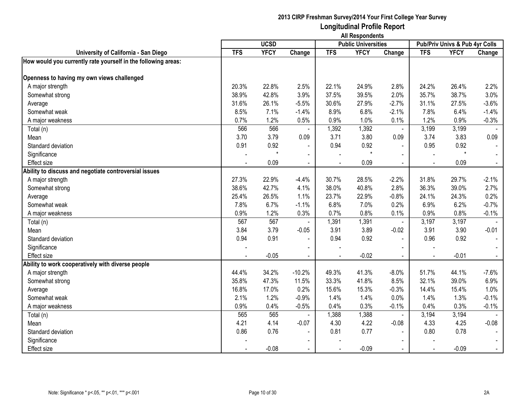|                                                               | <b>All Respondents</b> |             |                |                |                            |                |                |                                |                |
|---------------------------------------------------------------|------------------------|-------------|----------------|----------------|----------------------------|----------------|----------------|--------------------------------|----------------|
|                                                               |                        | <b>UCSD</b> |                |                | <b>Public Universities</b> |                |                | Pub/Priv Univs & Pub 4yr Colls |                |
| University of California - San Diego                          | <b>TFS</b>             | <b>YFCY</b> | Change         | <b>TFS</b>     | <b>YFCY</b>                | Change         | <b>TFS</b>     | <b>YFCY</b>                    | Change         |
| How would you currently rate yourself in the following areas: |                        |             |                |                |                            |                |                |                                |                |
| Openness to having my own views challenged                    |                        |             |                |                |                            |                |                |                                |                |
| A major strength                                              | 20.3%                  | 22.8%       | 2.5%           | 22.1%          | 24.9%                      | 2.8%           | 24.2%          | 26.4%                          | 2.2%           |
| Somewhat strong                                               | 38.9%                  | 42.8%       | 3.9%           | 37.5%          | 39.5%                      | 2.0%           | 35.7%          | 38.7%                          | 3.0%           |
| Average                                                       | 31.6%                  | 26.1%       | $-5.5%$        | 30.6%          | 27.9%                      | $-2.7%$        | 31.1%          | 27.5%                          | $-3.6%$        |
| Somewhat weak                                                 | 8.5%                   | 7.1%        | $-1.4%$        | 8.9%           | 6.8%                       | $-2.1%$        | 7.8%           | 6.4%                           | $-1.4%$        |
| A major weakness                                              | 0.7%                   | 1.2%        | 0.5%           | 0.9%           | 1.0%                       | 0.1%           | 1.2%           | 0.9%                           | $-0.3%$        |
| Total (n)                                                     | 566                    | 566         | $\blacksquare$ | 1,392          | 1,392                      | $\blacksquare$ | 3,199          | 3,199                          |                |
| Mean                                                          | 3.70                   | 3.79        | 0.09           | 3.71           | 3.80                       | 0.09           | 3.74           | 3.83                           | 0.09           |
| Standard deviation                                            | 0.91                   | 0.92        | $\blacksquare$ | 0.94           | 0.92                       | $\blacksquare$ | 0.95           | 0.92                           |                |
| Significance                                                  |                        | $\star$     | $\blacksquare$ |                | $\star$                    | $\blacksquare$ |                | $\star$                        |                |
| <b>Effect size</b>                                            |                        | 0.09        | $\blacksquare$ | L,             | 0.09                       | $\blacksquare$ |                | 0.09                           | $\blacksquare$ |
| Ability to discuss and negotiate controversial issues         |                        |             |                |                |                            |                |                |                                |                |
| A major strength                                              | 27.3%                  | 22.9%       | $-4.4%$        | 30.7%          | 28.5%                      | $-2.2%$        | 31.8%          | 29.7%                          | $-2.1%$        |
| Somewhat strong                                               | 38.6%                  | 42.7%       | 4.1%           | 38.0%          | 40.8%                      | 2.8%           | 36.3%          | 39.0%                          | 2.7%           |
| Average                                                       | 25.4%                  | 26.5%       | 1.1%           | 23.7%          | 22.9%                      | $-0.8%$        | 24.1%          | 24.3%                          | 0.2%           |
| Somewhat weak                                                 | 7.8%                   | 6.7%        | $-1.1%$        | 6.8%           | 7.0%                       | 0.2%           | 6.9%           | 6.2%                           | $-0.7%$        |
| A major weakness                                              | 0.9%                   | 1.2%        | 0.3%           | 0.7%           | 0.8%                       | 0.1%           | 0.9%           | 0.8%                           | $-0.1%$        |
| Total (n)                                                     | 567                    | 567         |                | 1,391          | 1,391                      | $\blacksquare$ | 3,197          | 3,197                          |                |
| Mean                                                          | 3.84                   | 3.79        | $-0.05$        | 3.91           | 3.89                       | $-0.02$        | 3.91           | 3.90                           | $-0.01$        |
| Standard deviation                                            | 0.94                   | 0.91        | $\overline{a}$ | 0.94           | 0.92                       | $\sim$         | 0.96           | 0.92                           | $\sim$         |
| Significance                                                  |                        |             |                |                |                            | $\blacksquare$ |                |                                |                |
| Effect size                                                   |                        | $-0.05$     | $\blacksquare$ | $\blacksquare$ | $-0.02$                    |                | $\blacksquare$ | $-0.01$                        | $\sim$         |
| Ability to work cooperatively with diverse people             |                        |             |                |                |                            |                |                |                                |                |
| A major strength                                              | 44.4%                  | 34.2%       | $-10.2%$       | 49.3%          | 41.3%                      | $-8.0%$        | 51.7%          | 44.1%                          | $-7.6%$        |
| Somewhat strong                                               | 35.8%                  | 47.3%       | 11.5%          | 33.3%          | 41.8%                      | 8.5%           | 32.1%          | 39.0%                          | 6.9%           |
| Average                                                       | 16.8%                  | 17.0%       | 0.2%           | 15.6%          | 15.3%                      | $-0.3%$        | 14.4%          | 15.4%                          | 1.0%           |
| Somewhat weak                                                 | 2.1%                   | 1.2%        | $-0.9%$        | 1.4%           | 1.4%                       | 0.0%           | 1.4%           | 1.3%                           | $-0.1%$        |
| A major weakness                                              | 0.9%                   | 0.4%        | $-0.5%$        | 0.4%           | 0.3%                       | $-0.1%$        | 0.4%           | 0.3%                           | $-0.1%$        |
| Total (n)                                                     | 565                    | 565         |                | 1,388          | 1,388                      | $\blacksquare$ | 3,194          | 3,194                          |                |
| Mean                                                          | 4.21                   | 4.14        | $-0.07$        | 4.30           | 4.22                       | $-0.08$        | 4.33           | 4.25                           | $-0.08$        |
| Standard deviation                                            | 0.86                   | 0.76        | $\blacksquare$ | 0.81           | 0.77                       | $\blacksquare$ | 0.80           | 0.78                           | $\blacksquare$ |
| Significance                                                  |                        |             | $\blacksquare$ |                |                            | $\blacksquare$ |                |                                |                |
| Effect size                                                   |                        | $-0.08$     | $\blacksquare$ |                | $-0.09$                    |                |                | $-0.09$                        | $\sim$         |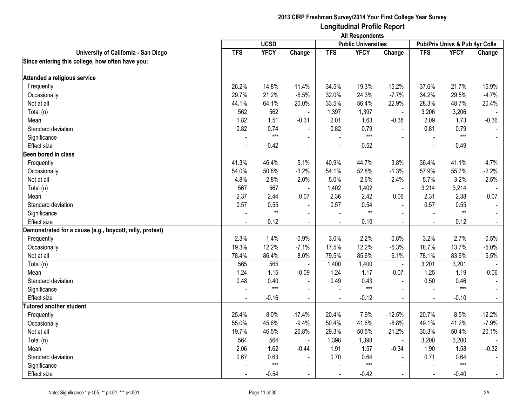|                                                          | <b>All Respondents</b> |             |                |                |                            |                |            |                                |                |
|----------------------------------------------------------|------------------------|-------------|----------------|----------------|----------------------------|----------------|------------|--------------------------------|----------------|
|                                                          |                        | <b>UCSD</b> |                |                | <b>Public Universities</b> |                |            | Pub/Priv Univs & Pub 4yr Colls |                |
| University of California - San Diego                     | <b>TFS</b>             | <b>YFCY</b> | Change         | <b>TFS</b>     | <b>YFCY</b>                | Change         | <b>TFS</b> | <b>YFCY</b>                    | Change         |
| Since entering this college, how often have you:         |                        |             |                |                |                            |                |            |                                |                |
| Attended a religious service                             |                        |             |                |                |                            |                |            |                                |                |
| Frequently                                               | 26.2%                  | 14.8%       | $-11.4%$       | 34.5%          | 19.3%                      | $-15.2%$       | 37.6%      | 21.7%                          | $-15.9%$       |
| Occasionally                                             | 29.7%                  | 21.2%       | $-8.5%$        | 32.0%          | 24.3%                      | $-7.7%$        | 34.2%      | 29.5%                          | $-4.7%$        |
| Not at all                                               | 44.1%                  | 64.1%       | 20.0%          | 33.5%          | 56.4%                      | 22.9%          | 28.3%      | 48.7%                          | 20.4%          |
| Total (n)                                                | 562                    | 562         |                | 1,397          | 1,397                      | $\blacksquare$ | 3,206      | 3,206                          |                |
| Mean                                                     | 1.82                   | 1.51        | $-0.31$        | 2.01           | 1.63                       | $-0.38$        | 2.09       | 1.73                           | $-0.36$        |
| Standard deviation                                       | 0.82                   | 0.74        |                | 0.82           | 0.79                       |                | 0.81       | 0.79                           |                |
| Significance                                             |                        | $***$       | $\sim$         |                | $***$                      | $\overline{a}$ |            | $***$                          |                |
| Effect size                                              |                        | $-0.42$     | $\blacksquare$ | $\blacksquare$ | $-0.52$                    | $\blacksquare$ |            | $-0.49$                        | $\blacksquare$ |
| Been bored in class                                      |                        |             |                |                |                            |                |            |                                |                |
| Frequently                                               | 41.3%                  | 46.4%       | 5.1%           | 40.9%          | 44.7%                      | 3.8%           | 36.4%      | 41.1%                          | 4.7%           |
| Occasionally                                             | 54.0%                  | 50.8%       | $-3.2%$        | 54.1%          | 52.8%                      | $-1.3%$        | 57.9%      | 55.7%                          | $-2.2%$        |
| Not at all                                               | 4.8%                   | 2.8%        | $-2.0%$        | 5.0%           | 2.6%                       | $-2.4%$        | 5.7%       | 3.2%                           | $-2.5%$        |
| Total (n)                                                | 567                    | 567         |                | 1,402          | 1,402                      | $\blacksquare$ | 3,214      | 3,214                          |                |
| Mean                                                     | 2.37                   | 2.44        | 0.07           | 2.36           | 2.42                       | 0.06           | 2.31       | 2.38                           | 0.07           |
| Standard deviation                                       | 0.57                   | 0.55        | $\blacksquare$ | 0.57           | 0.54                       |                | 0.57       | 0.55                           |                |
| Significance                                             |                        | $**$        | $\blacksquare$ |                | $**$                       | $\overline{a}$ |            | $**$                           |                |
| Effect size                                              |                        | 0.12        | $\blacksquare$ |                | 0.10                       | $\blacksquare$ |            | 0.12                           | $\omega$       |
| Demonstrated for a cause (e.g., boycott, rally, protest) |                        |             |                |                |                            |                |            |                                |                |
| Frequently                                               | 2.3%                   | 1.4%        | $-0.9%$        | 3.0%           | 2.2%                       | $-0.8%$        | 3.2%       | 2.7%                           | $-0.5%$        |
| Occasionally                                             | 19.3%                  | 12.2%       | $-7.1%$        | 17.5%          | 12.2%                      | $-5.3%$        | 18.7%      | 13.7%                          | $-5.0%$        |
| Not at all                                               | 78.4%                  | 86.4%       | 8.0%           | 79.5%          | 85.6%                      | 6.1%           | 78.1%      | 83.6%                          | 5.5%           |
| Total (n)                                                | 565                    | 565         |                | 1,400          | 1,400                      | $\blacksquare$ | 3,201      | 3,201                          |                |
| Mean                                                     | 1.24                   | 1.15        | $-0.09$        | 1.24           | 1.17                       | $-0.07$        | 1.25       | 1.19                           | $-0.06$        |
| Standard deviation                                       | 0.48                   | 0.40        |                | 0.49           | 0.43                       | $\mathbf{r}$   | 0.50       | 0.46                           |                |
| Significance                                             |                        | $***$       | $\mathbf{r}$   |                | $***$                      | $\blacksquare$ |            | $***$                          |                |
| Effect size                                              |                        | $-0.16$     | $\blacksquare$ | $\blacksquare$ | $-0.12$                    | $\blacksquare$ |            | $-0.10$                        | $\blacksquare$ |
| <b>Tutored another student</b>                           |                        |             |                |                |                            |                |            |                                |                |
| Frequently                                               | 25.4%                  | 8.0%        | $-17.4%$       | 20.4%          | 7.9%                       | $-12.5%$       | 20.7%      | 8.5%                           | $-12.2%$       |
| Occasionally                                             | 55.0%                  | 45.6%       | $-9.4%$        | 50.4%          | 41.6%                      | $-8.8%$        | 49.1%      | 41.2%                          | $-7.9%$        |
| Not at all                                               | 19.7%                  | 46.5%       | 26.8%          | 29.3%          | 50.5%                      | 21.2%          | 30.3%      | 50.4%                          | 20.1%          |
| Total (n)                                                | 564                    | 564         | $\blacksquare$ | 1,398          | 1,398                      | $\blacksquare$ | 3,200      | 3,200                          |                |
| Mean                                                     | 2.06                   | 1.62        | $-0.44$        | 1.91           | 1.57                       | $-0.34$        | 1.90       | 1.58                           | $-0.32$        |
| Standard deviation                                       | 0.67                   | 0.63        |                | 0.70           | 0.64                       | $\blacksquare$ | 0.71       | 0.64                           |                |
| Significance                                             |                        | $***$       | $\mathbf{r}$   |                | $***$                      | $\blacksquare$ |            | $***$                          |                |
| <b>Effect size</b>                                       |                        | $-0.54$     | $\blacksquare$ |                | $-0.42$                    |                |            | $-0.40$                        | $\blacksquare$ |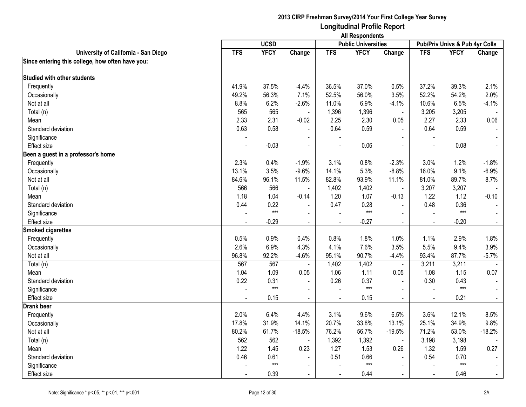|                                                  | <b>All Respondents</b> |             |                |                |                            |                |                |                                |                |
|--------------------------------------------------|------------------------|-------------|----------------|----------------|----------------------------|----------------|----------------|--------------------------------|----------------|
|                                                  |                        | <b>UCSD</b> |                |                | <b>Public Universities</b> |                |                | Pub/Priv Univs & Pub 4yr Colls |                |
| University of California - San Diego             | <b>TFS</b>             | <b>YFCY</b> | Change         | <b>TFS</b>     | <b>YFCY</b>                | Change         | <b>TFS</b>     | <b>YFCY</b>                    | Change         |
| Since entering this college, how often have you: |                        |             |                |                |                            |                |                |                                |                |
| <b>Studied with other students</b>               |                        |             |                |                |                            |                |                |                                |                |
| Frequently                                       | 41.9%                  | 37.5%       | $-4.4%$        | 36.5%          | 37.0%                      | 0.5%           | 37.2%          | 39.3%                          | 2.1%           |
| Occasionally                                     | 49.2%                  | 56.3%       | 7.1%           | 52.5%          | 56.0%                      | 3.5%           | 52.2%          | 54.2%                          | 2.0%           |
| Not at all                                       | 8.8%                   | 6.2%        | $-2.6%$        | 11.0%          | 6.9%                       | $-4.1%$        | 10.6%          | 6.5%                           | $-4.1%$        |
| Total (n)                                        | 565                    | 565         | $\blacksquare$ | 1,396          | 1,396                      | $\blacksquare$ | 3,205          | 3,205                          |                |
| Mean                                             | 2.33                   | 2.31        | $-0.02$        | 2.25           | 2.30                       | 0.05           | 2.27           | 2.33                           | 0.06           |
| Standard deviation                               | 0.63                   | 0.58        |                | 0.64           | 0.59                       |                | 0.64           | 0.59                           |                |
| Significance                                     |                        |             | $\blacksquare$ |                |                            |                | $\blacksquare$ |                                |                |
| <b>Effect size</b>                               |                        | $-0.03$     | $\blacksquare$ |                | 0.06                       | $\blacksquare$ | $\blacksquare$ | 0.08                           | $\blacksquare$ |
| Been a guest in a professor's home               |                        |             |                |                |                            |                |                |                                |                |
| Frequently                                       | 2.3%                   | 0.4%        | $-1.9%$        | 3.1%           | 0.8%                       | $-2.3%$        | 3.0%           | 1.2%                           | $-1.8%$        |
| Occasionally                                     | 13.1%                  | 3.5%        | $-9.6%$        | 14.1%          | 5.3%                       | $-8.8%$        | 16.0%          | 9.1%                           | $-6.9%$        |
| Not at all                                       | 84.6%                  | 96.1%       | 11.5%          | 82.8%          | 93.9%                      | 11.1%          | 81.0%          | 89.7%                          | 8.7%           |
| Total (n)                                        | 566                    | 566         | $\blacksquare$ | 1,402          | 1,402                      | $\blacksquare$ | 3,207          | 3,207                          |                |
| Mean                                             | 1.18                   | 1.04        | $-0.14$        | 1.20           | 1.07                       | $-0.13$        | 1.22           | 1.12                           | $-0.10$        |
| Standard deviation                               | 0.44                   | 0.22        |                | 0.47           | 0.28                       | $\blacksquare$ | 0.48           | 0.36                           |                |
| Significance                                     |                        | $***$       | $\sim$         |                | $***$                      | $\sim$         | $\sim$         | $***$                          |                |
| <b>Effect size</b>                               |                        | $-0.29$     | $\blacksquare$ |                | $-0.27$                    | $\sim$         |                | $-0.20$                        |                |
| <b>Smoked cigarettes</b>                         |                        |             |                |                |                            |                |                |                                |                |
| Frequently                                       | 0.5%                   | 0.9%        | 0.4%           | 0.8%           | 1.8%                       | 1.0%           | 1.1%           | 2.9%                           | 1.8%           |
| Occasionally                                     | 2.6%                   | 6.9%        | 4.3%           | 4.1%           | 7.6%                       | 3.5%           | 5.5%           | 9.4%                           | 3.9%           |
| Not at all                                       | 96.8%                  | 92.2%       | $-4.6%$        | 95.1%          | 90.7%                      | $-4.4%$        | 93.4%          | 87.7%                          | $-5.7%$        |
| Total (n)                                        | 567                    | 567         | $\blacksquare$ | 1,402          | 1,402                      | $\blacksquare$ | 3,211          | 3,211                          |                |
| Mean                                             | 1.04                   | 1.09        | 0.05           | 1.06           | 1.11                       | 0.05           | 1.08           | 1.15                           | 0.07           |
| Standard deviation                               | 0.22                   | 0.31        | $\blacksquare$ | 0.26           | 0.37                       |                | 0.30           | 0.43                           |                |
| Significance                                     |                        | $***$       | $\blacksquare$ |                | $***$                      | $\blacksquare$ |                | $***$                          | $\blacksquare$ |
| Effect size                                      | $\blacksquare$         | 0.15        | $\blacksquare$ | $\blacksquare$ | 0.15                       | $\sim$         | $\blacksquare$ | 0.21                           | $\blacksquare$ |
| <b>Drank beer</b>                                |                        |             |                |                |                            |                |                |                                |                |
| Frequently                                       | 2.0%                   | 6.4%        | 4.4%           | 3.1%           | 9.6%                       | 6.5%           | 3.6%           | 12.1%                          | 8.5%           |
| Occasionally                                     | 17.8%                  | 31.9%       | 14.1%          | 20.7%          | 33.8%                      | 13.1%          | 25.1%          | 34.9%                          | 9.8%           |
| Not at all                                       | 80.2%                  | 61.7%       | $-18.5%$       | 76.2%          | 56.7%                      | $-19.5%$       | 71.2%          | 53.0%                          | $-18.2%$       |
| Total (n)                                        | 562                    | 562         | $\blacksquare$ | 1,392          | 1,392                      | $\blacksquare$ | 3,198          | 3,198                          |                |
| Mean                                             | 1.22                   | 1.45        | 0.23           | 1.27           | 1.53                       | 0.26           | 1.32           | 1.59                           | 0.27           |
| Standard deviation                               | 0.46                   | 0.61        |                | 0.51           | 0.66                       |                | 0.54           | 0.70                           |                |
| Significance                                     |                        | $***$       | $\blacksquare$ |                | $***$                      | $\sim$         |                | $***$                          |                |
| Effect size                                      |                        | 0.39        | $\blacksquare$ |                | 0.44                       | $\sim$         | $\blacksquare$ | 0.46                           | $\blacksquare$ |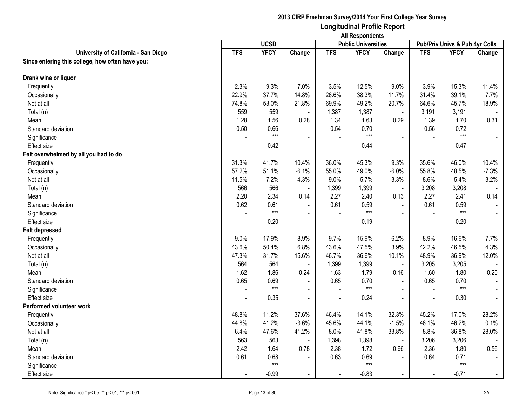|                                                  | <b>All Respondents</b> |             |                          |            |                            |                |                |                                |                |
|--------------------------------------------------|------------------------|-------------|--------------------------|------------|----------------------------|----------------|----------------|--------------------------------|----------------|
|                                                  |                        | <b>UCSD</b> |                          |            | <b>Public Universities</b> |                |                | Pub/Priv Univs & Pub 4yr Colls |                |
| University of California - San Diego             | <b>TFS</b>             | <b>YFCY</b> | Change                   | <b>TFS</b> | <b>YFCY</b>                | Change         | <b>TFS</b>     | <b>YFCY</b>                    | Change         |
| Since entering this college, how often have you: |                        |             |                          |            |                            |                |                |                                |                |
| Drank wine or liquor                             |                        |             |                          |            |                            |                |                |                                |                |
| Frequently                                       | 2.3%                   | 9.3%        | 7.0%                     | 3.5%       | 12.5%                      | 9.0%           | 3.9%           | 15.3%                          | 11.4%          |
| Occasionally                                     | 22.9%                  | 37.7%       | 14.8%                    | 26.6%      | 38.3%                      | 11.7%          | 31.4%          | 39.1%                          | 7.7%           |
| Not at all                                       | 74.8%                  | 53.0%       | $-21.8%$                 | 69.9%      | 49.2%                      | $-20.7%$       | 64.6%          | 45.7%                          | $-18.9%$       |
| Total (n)                                        | 559                    | 559         |                          | 1,387      | 1,387                      | $\blacksquare$ | 3,191          | 3,191                          |                |
| Mean                                             | 1.28                   | 1.56        | 0.28                     | 1.34       | 1.63                       | 0.29           | 1.39           | 1.70                           | 0.31           |
| Standard deviation                               | 0.50                   | 0.66        |                          | 0.54       | 0.70                       | $\sim$         | 0.56           | 0.72                           |                |
| Significance                                     |                        | $***$       | $\blacksquare$           |            | $***$                      | $\mathbf{r}$   |                | $***$                          |                |
| <b>Effect size</b>                               |                        | 0.42        | $\blacksquare$           |            | 0.44                       | $\blacksquare$ | $\blacksquare$ | 0.47                           | $\blacksquare$ |
| Felt overwhelmed by all you had to do            |                        |             |                          |            |                            |                |                |                                |                |
| Frequently                                       | 31.3%                  | 41.7%       | 10.4%                    | 36.0%      | 45.3%                      | 9.3%           | 35.6%          | 46.0%                          | 10.4%          |
| Occasionally                                     | 57.2%                  | 51.1%       | $-6.1%$                  | 55.0%      | 49.0%                      | $-6.0%$        | 55.8%          | 48.5%                          | $-7.3%$        |
| Not at all                                       | 11.5%                  | 7.2%        | $-4.3%$                  | 9.0%       | 5.7%                       | $-3.3%$        | 8.6%           | 5.4%                           | $-3.2%$        |
| Total (n)                                        | 566                    | 566         |                          | 1,399      | 1,399                      | $\omega$       | 3,208          | 3,208                          |                |
| Mean                                             | 2.20                   | 2.34        | 0.14                     | 2.27       | 2.40                       | 0.13           | 2.27           | 2.41                           | 0.14           |
| Standard deviation                               | 0.62                   | 0.61        |                          | 0.61       | 0.59                       | $\blacksquare$ | 0.61           | 0.59                           |                |
| Significance                                     |                        | $***$       |                          |            | $***$                      |                |                | $***$                          |                |
| <b>Effect size</b>                               |                        | 0.20        | $\blacksquare$           |            | 0.19                       | $\blacksquare$ |                | 0.20                           |                |
| <b>Felt depressed</b>                            |                        |             |                          |            |                            |                |                |                                |                |
| Frequently                                       | 9.0%                   | 17.9%       | 8.9%                     | 9.7%       | 15.9%                      | 6.2%           | 8.9%           | 16.6%                          | 7.7%           |
| Occasionally                                     | 43.6%                  | 50.4%       | 6.8%                     | 43.6%      | 47.5%                      | 3.9%           | 42.2%          | 46.5%                          | 4.3%           |
| Not at all                                       | 47.3%                  | 31.7%       | $-15.6%$                 | 46.7%      | 36.6%                      | $-10.1%$       | 48.9%          | 36.9%                          | $-12.0%$       |
| Total (n)                                        | 564                    | 564         | $\blacksquare$           | 1,399      | 1,399                      | $\blacksquare$ | 3,205          | 3,205                          |                |
| Mean                                             | 1.62                   | 1.86        | 0.24                     | 1.63       | 1.79                       | 0.16           | 1.60           | 1.80                           | 0.20           |
| Standard deviation                               | 0.65                   | 0.69        |                          | 0.65       | 0.70                       |                | 0.65           | 0.70                           |                |
| Significance                                     |                        | $***$       | $\blacksquare$           |            | $***$                      | $\mathbf{r}$   |                | $***$                          |                |
| <b>Effect size</b>                               | $\blacksquare$         | 0.35        | $\blacksquare$           |            | 0.24                       | $\blacksquare$ | $\sim$         | 0.30                           | $\blacksquare$ |
| Performed volunteer work                         |                        |             |                          |            |                            |                |                |                                |                |
| Frequently                                       | 48.8%                  | 11.2%       | $-37.6%$                 | 46.4%      | 14.1%                      | $-32.3%$       | 45.2%          | 17.0%                          | $-28.2%$       |
| Occasionally                                     | 44.8%                  | 41.2%       | $-3.6%$                  | 45.6%      | 44.1%                      | $-1.5%$        | 46.1%          | 46.2%                          | 0.1%           |
| Not at all                                       | 6.4%                   | 47.6%       | 41.2%                    | 8.0%       | 41.8%                      | 33.8%          | 8.8%           | 36.8%                          | 28.0%          |
| Total (n)                                        | 563                    | 563         |                          | 1,398      | 1,398                      | $\mathbf{r}$   | 3,206          | 3,206                          |                |
| Mean                                             | 2.42                   | 1.64        | $-0.78$                  | 2.38       | 1.72                       | $-0.66$        | 2.36           | 1.80                           | $-0.56$        |
| Standard deviation                               | 0.61                   | 0.68        |                          | 0.63       | 0.69                       |                | 0.64           | 0.71                           |                |
| Significance                                     |                        | $***$       | $\overline{\phantom{0}}$ |            | $***$                      | $\blacksquare$ |                | $***$                          |                |
| Effect size                                      |                        | $-0.99$     | $\blacksquare$           |            | $-0.83$                    | $\blacksquare$ | $\sim$         | $-0.71$                        |                |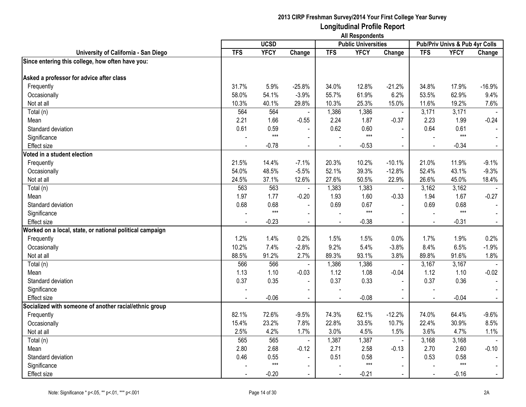|                                                          | <b>All Respondents</b> |             |                |            |                            |                |                |                                |                |
|----------------------------------------------------------|------------------------|-------------|----------------|------------|----------------------------|----------------|----------------|--------------------------------|----------------|
|                                                          |                        | <b>UCSD</b> |                |            | <b>Public Universities</b> |                |                | Pub/Priv Univs & Pub 4yr Colls |                |
| University of California - San Diego                     | <b>TFS</b>             | <b>YFCY</b> | Change         | <b>TFS</b> | <b>YFCY</b>                | Change         | <b>TFS</b>     | <b>YFCY</b>                    | Change         |
| Since entering this college, how often have you:         |                        |             |                |            |                            |                |                |                                |                |
| Asked a professor for advice after class                 |                        |             |                |            |                            |                |                |                                |                |
| Frequently                                               | 31.7%                  | 5.9%        | $-25.8%$       | 34.0%      | 12.8%                      | $-21.2%$       | 34.8%          | 17.9%                          | $-16.9%$       |
| Occasionally                                             | 58.0%                  | 54.1%       | $-3.9%$        | 55.7%      | 61.9%                      | 6.2%           | 53.5%          | 62.9%                          | 9.4%           |
| Not at all                                               | 10.3%                  | 40.1%       | 29.8%          | 10.3%      | 25.3%                      | 15.0%          | 11.6%          | 19.2%                          | 7.6%           |
| Total (n)                                                | 564                    | 564         |                | 1,386      | 1,386                      | $\blacksquare$ | 3,171          | 3,171                          |                |
| Mean                                                     | 2.21                   | 1.66        | $-0.55$        | 2.24       | 1.87                       | $-0.37$        | 2.23           | 1.99                           | $-0.24$        |
| Standard deviation                                       | 0.61                   | 0.59        |                | 0.62       | 0.60                       | $\sim$         | 0.64           | 0.61                           |                |
| Significance                                             |                        | $***$       | $\blacksquare$ |            | $***$                      | $\mathbf{r}$   |                | $***$                          |                |
| Effect size                                              |                        | $-0.78$     | $\blacksquare$ |            | $-0.53$                    | $\blacksquare$ | $\overline{a}$ | $-0.34$                        | $\blacksquare$ |
| Voted in a student election                              |                        |             |                |            |                            |                |                |                                |                |
| Frequently                                               | 21.5%                  | 14.4%       | $-7.1%$        | 20.3%      | 10.2%                      | $-10.1%$       | 21.0%          | 11.9%                          | $-9.1%$        |
| Occasionally                                             | 54.0%                  | 48.5%       | $-5.5%$        | 52.1%      | 39.3%                      | $-12.8%$       | 52.4%          | 43.1%                          | $-9.3%$        |
| Not at all                                               | 24.5%                  | 37.1%       | 12.6%          | 27.6%      | 50.5%                      | 22.9%          | 26.6%          | 45.0%                          | 18.4%          |
| Total (n)                                                | 563                    | 563         |                | 1,383      | 1,383                      | $\blacksquare$ | 3,162          | 3,162                          |                |
| Mean                                                     | 1.97                   | 1.77        | $-0.20$        | 1.93       | 1.60                       | $-0.33$        | 1.94           | 1.67                           | $-0.27$        |
| Standard deviation                                       | 0.68                   | 0.68        |                | 0.69       | 0.67                       | $\overline{a}$ | 0.69           | 0.68                           |                |
| Significance                                             |                        | $***$       | $\sim$         |            | $***$                      | $\sim$         | $\overline{a}$ | $***$                          |                |
| Effect size                                              |                        | $-0.23$     | $\blacksquare$ |            | $-0.38$                    | $\blacksquare$ |                | $-0.31$                        | $\blacksquare$ |
| Worked on a local, state, or national political campaign |                        |             |                |            |                            |                |                |                                |                |
| Frequently                                               | 1.2%                   | 1.4%        | 0.2%           | 1.5%       | 1.5%                       | 0.0%           | 1.7%           | 1.9%                           | 0.2%           |
| Occasionally                                             | 10.2%                  | 7.4%        | $-2.8%$        | 9.2%       | 5.4%                       | $-3.8%$        | 8.4%           | 6.5%                           | $-1.9%$        |
| Not at all                                               | 88.5%                  | 91.2%       | 2.7%           | 89.3%      | 93.1%                      | 3.8%           | 89.8%          | 91.6%                          | 1.8%           |
| Total (n)                                                | 566                    | 566         | $\blacksquare$ | 1,386      | 1,386                      | $\blacksquare$ | 3,167          | 3,167                          |                |
| Mean                                                     | 1.13                   | 1.10        | $-0.03$        | 1.12       | 1.08                       | $-0.04$        | 1.12           | 1.10                           | $-0.02$        |
| Standard deviation                                       | 0.37                   | 0.35        |                | 0.37       | 0.33                       | $\blacksquare$ | 0.37           | 0.36                           |                |
| Significance                                             | L.                     |             | $\blacksquare$ |            |                            | $\blacksquare$ |                |                                |                |
| <b>Effect size</b>                                       |                        | $-0.06$     | $\blacksquare$ |            | $-0.08$                    | $\blacksquare$ | $\overline{a}$ | $-0.04$                        | $\blacksquare$ |
| Socialized with someone of another racial/ethnic group   |                        |             |                |            |                            |                |                |                                |                |
| Frequently                                               | 82.1%                  | 72.6%       | $-9.5%$        | 74.3%      | 62.1%                      | $-12.2%$       | 74.0%          | 64.4%                          | $-9.6%$        |
| Occasionally                                             | 15.4%                  | 23.2%       | 7.8%           | 22.8%      | 33.5%                      | 10.7%          | 22.4%          | 30.9%                          | 8.5%           |
| Not at all                                               | 2.5%                   | 4.2%        | 1.7%           | 3.0%       | 4.5%                       | 1.5%           | 3.6%           | 4.7%                           | 1.1%           |
| Total (n)                                                | 565                    | 565         | $\blacksquare$ | 1,387      | 1,387                      | $\blacksquare$ | 3,168          | 3,168                          |                |
| Mean                                                     | 2.80                   | 2.68        | $-0.12$        | 2.71       | 2.58                       | $-0.13$        | 2.70           | 2.60                           | $-0.10$        |
| Standard deviation                                       | 0.46                   | 0.55        |                | 0.51       | 0.58                       |                | 0.53           | 0.58                           |                |
| Significance                                             |                        | $***$       | $\blacksquare$ |            | $***$                      | $\sim$         |                | $***$                          | $\sim$         |
| Effect size                                              |                        | $-0.20$     | $\blacksquare$ |            | $-0.21$                    |                |                | $-0.16$                        | $\blacksquare$ |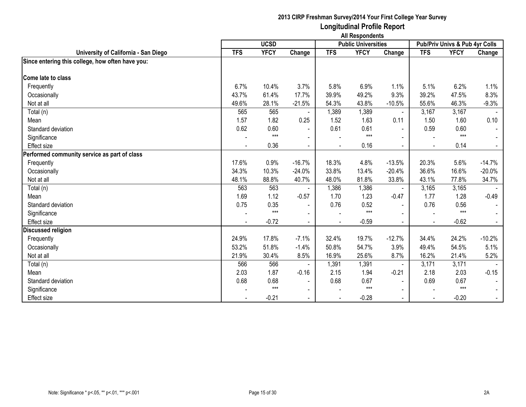|                                                  | <b>All Respondents</b> |             |                          |                |                            |                |            |                                |                |
|--------------------------------------------------|------------------------|-------------|--------------------------|----------------|----------------------------|----------------|------------|--------------------------------|----------------|
|                                                  |                        | <b>UCSD</b> |                          |                | <b>Public Universities</b> |                |            | Pub/Priv Univs & Pub 4yr Colls |                |
| University of California - San Diego             | <b>TFS</b>             | <b>YFCY</b> | Change                   | <b>TFS</b>     | <b>YFCY</b>                | Change         | <b>TFS</b> | <b>YFCY</b>                    | Change         |
| Since entering this college, how often have you: |                        |             |                          |                |                            |                |            |                                |                |
| Come late to class                               |                        |             |                          |                |                            |                |            |                                |                |
| Frequently                                       | 6.7%                   | 10.4%       | 3.7%                     | 5.8%           | 6.9%                       | 1.1%           | 5.1%       | 6.2%                           | 1.1%           |
| Occasionally                                     | 43.7%                  | 61.4%       | 17.7%                    | 39.9%          | 49.2%                      | 9.3%           | 39.2%      | 47.5%                          | 8.3%           |
| Not at all                                       | 49.6%                  | 28.1%       | $-21.5%$                 | 54.3%          | 43.8%                      | $-10.5%$       | 55.6%      | 46.3%                          | $-9.3%$        |
| Total (n)                                        | 565                    | 565         |                          | 1,389          | 1,389                      | $\sim$         | 3,167      | 3,167                          |                |
| Mean                                             | 1.57                   | 1.82        | 0.25                     | 1.52           | 1.63                       | 0.11           | 1.50       | 1.60                           | 0.10           |
| Standard deviation                               | 0.62                   | 0.60        | $\blacksquare$           | 0.61           | 0.61                       | $\blacksquare$ | 0.59       | 0.60                           | $\sim$         |
| Significance                                     |                        | $***$       |                          |                | $***$                      |                |            | $***$                          |                |
| <b>Effect size</b>                               |                        | 0.36        |                          |                | 0.16                       |                |            | 0.14                           | $\blacksquare$ |
| Performed community service as part of class     |                        |             |                          |                |                            |                |            |                                |                |
| Frequently                                       | 17.6%                  | 0.9%        | $-16.7%$                 | 18.3%          | 4.8%                       | $-13.5%$       | 20.3%      | 5.6%                           | $-14.7%$       |
| Occasionally                                     | 34.3%                  | 10.3%       | $-24.0%$                 | 33.8%          | 13.4%                      | $-20.4%$       | 36.6%      | 16.6%                          | $-20.0%$       |
| Not at all                                       | 48.1%                  | 88.8%       | 40.7%                    | 48.0%          | 81.8%                      | 33.8%          | 43.1%      | 77.8%                          | 34.7%          |
| Total (n)                                        | 563                    | 563         |                          | 1,386          | 1,386                      | $\blacksquare$ | 3,165      | 3,165                          |                |
| Mean                                             | 1.69                   | 1.12        | $-0.57$                  | 1.70           | 1.23                       | $-0.47$        | 1.77       | 1.28                           | $-0.49$        |
| Standard deviation                               | 0.75                   | 0.35        | $\blacksquare$           | 0.76           | 0.52                       | $\blacksquare$ | 0.76       | 0.56                           |                |
| Significance                                     |                        | $***$       | $\blacksquare$           |                | $***$                      |                |            | $***$                          |                |
| Effect size                                      | $\blacksquare$         | $-0.72$     | $\blacksquare$           | $\blacksquare$ | $-0.59$                    | $\blacksquare$ |            | $-0.62$                        | $\sim$         |
| <b>Discussed religion</b>                        |                        |             |                          |                |                            |                |            |                                |                |
| Frequently                                       | 24.9%                  | 17.8%       | $-7.1%$                  | 32.4%          | 19.7%                      | $-12.7%$       | 34.4%      | 24.2%                          | $-10.2%$       |
| Occasionally                                     | 53.2%                  | 51.8%       | $-1.4%$                  | 50.8%          | 54.7%                      | 3.9%           | 49.4%      | 54.5%                          | 5.1%           |
| Not at all                                       | 21.9%                  | 30.4%       | 8.5%                     | 16.9%          | 25.6%                      | 8.7%           | 16.2%      | 21.4%                          | 5.2%           |
| Total (n)                                        | 566                    | 566         |                          | 1,391          | 1,391                      | $\blacksquare$ | 3,171      | 3,171                          |                |
| Mean                                             | 2.03                   | 1.87        | $-0.16$                  | 2.15           | 1.94                       | $-0.21$        | 2.18       | 2.03                           | $-0.15$        |
| Standard deviation                               | 0.68                   | 0.68        | $\blacksquare$           | 0.68           | 0.67                       | $\sim$         | 0.69       | 0.67                           |                |
| Significance                                     |                        | $***$       | $\overline{\phantom{a}}$ |                | $***$                      |                |            | $***$                          | $\sim$         |
| <b>Effect size</b>                               |                        | $-0.21$     | $\blacksquare$           |                | $-0.28$                    | $\sim$         |            | $-0.20$                        | $\sim$         |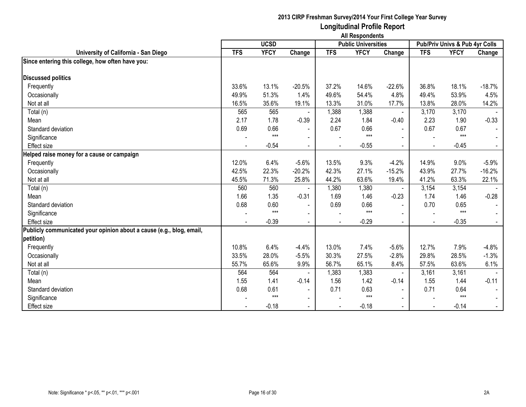|                                                                      | <b>All Respondents</b> |             |                          |                |                            |                          |            |                                |                |
|----------------------------------------------------------------------|------------------------|-------------|--------------------------|----------------|----------------------------|--------------------------|------------|--------------------------------|----------------|
|                                                                      |                        | <b>UCSD</b> |                          |                | <b>Public Universities</b> |                          |            | Pub/Priv Univs & Pub 4yr Colls |                |
| University of California - San Diego                                 | <b>TFS</b>             | <b>YFCY</b> | Change                   | <b>TFS</b>     | <b>YFCY</b>                | Change                   | <b>TFS</b> | <b>YFCY</b>                    | Change         |
| Since entering this college, how often have you:                     |                        |             |                          |                |                            |                          |            |                                |                |
| <b>Discussed politics</b>                                            |                        |             |                          |                |                            |                          |            |                                |                |
| Frequently                                                           | 33.6%                  | 13.1%       | $-20.5%$                 | 37.2%          | 14.6%                      | $-22.6%$                 | 36.8%      | 18.1%                          | $-18.7%$       |
| Occasionally                                                         | 49.9%                  | 51.3%       | 1.4%                     | 49.6%          | 54.4%                      | 4.8%                     | 49.4%      | 53.9%                          | 4.5%           |
| Not at all                                                           | 16.5%                  | 35.6%       | 19.1%                    | 13.3%          | 31.0%                      | 17.7%                    | 13.8%      | 28.0%                          | 14.2%          |
| Total (n)                                                            | 565                    | 565         |                          | 1,388          | 1,388                      |                          | 3,170      | 3,170                          |                |
| Mean                                                                 | 2.17                   | 1.78        | $-0.39$                  | 2.24           | 1.84                       | $-0.40$                  | 2.23       | 1.90                           | $-0.33$        |
| Standard deviation                                                   | 0.69                   | 0.66        |                          | 0.67           | 0.66                       |                          | 0.67       | 0.67                           |                |
| Significance                                                         |                        | $***$       | $\sim$                   |                | $***$                      |                          |            | $***$                          |                |
| Effect size                                                          | $\blacksquare$         | $-0.54$     | $\overline{\phantom{a}}$ | $\blacksquare$ | $-0.55$                    | $\overline{\phantom{0}}$ |            | $-0.45$                        | $\blacksquare$ |
| Helped raise money for a cause or campaign                           |                        |             |                          |                |                            |                          |            |                                |                |
| Frequently                                                           | 12.0%                  | 6.4%        | $-5.6%$                  | 13.5%          | 9.3%                       | $-4.2%$                  | 14.9%      | 9.0%                           | $-5.9%$        |
| Occasionally                                                         | 42.5%                  | 22.3%       | $-20.2%$                 | 42.3%          | 27.1%                      | $-15.2%$                 | 43.9%      | 27.7%                          | $-16.2%$       |
| Not at all                                                           | 45.5%                  | 71.3%       | 25.8%                    | 44.2%          | 63.6%                      | 19.4%                    | 41.2%      | 63.3%                          | 22.1%          |
| Total (n)                                                            | 560                    | 560         |                          | 1,380          | 1,380                      |                          | 3,154      | 3,154                          |                |
| Mean                                                                 | 1.66                   | 1.35        | $-0.31$                  | 1.69           | 1.46                       | $-0.23$                  | 1.74       | 1.46                           | $-0.28$        |
| Standard deviation                                                   | 0.68                   | 0.60        | $\overline{\phantom{a}}$ | 0.69           | 0.66                       | $\overline{\phantom{0}}$ | 0.70       | 0.65                           |                |
| Significance                                                         |                        | $***$       | $\overline{\phantom{a}}$ |                | $***$                      |                          |            | $***$                          |                |
| Effect size                                                          |                        | $-0.39$     | $\blacksquare$           |                | $-0.29$                    |                          |            | $-0.35$                        |                |
| Publicly communicated your opinion about a cause (e.g., blog, email, |                        |             |                          |                |                            |                          |            |                                |                |
| petition)                                                            |                        |             |                          |                |                            |                          |            |                                |                |
| Frequently                                                           | 10.8%                  | 6.4%        | $-4.4%$                  | 13.0%          | 7.4%                       | $-5.6%$                  | 12.7%      | 7.9%                           | $-4.8%$        |
| Occasionally                                                         | 33.5%                  | 28.0%       | $-5.5%$                  | 30.3%          | 27.5%                      | $-2.8%$                  | 29.8%      | 28.5%                          | $-1.3%$        |
| Not at all                                                           | 55.7%                  | 65.6%       | 9.9%                     | 56.7%          | 65.1%                      | 8.4%                     | 57.5%      | 63.6%                          | 6.1%           |
| Total (n)                                                            | 564                    | 564         |                          | 1,383          | 1,383                      | $\blacksquare$           | 3,161      | 3,161                          |                |
| Mean                                                                 | 1.55                   | 1.41        | $-0.14$                  | 1.56           | 1.42                       | $-0.14$                  | 1.55       | 1.44                           | $-0.11$        |
| Standard deviation                                                   | 0.68                   | 0.61        |                          | 0.71           | 0.63                       | $\blacksquare$           | 0.71       | 0.64                           |                |
| Significance                                                         |                        | $***$       | $\blacksquare$           |                | $***$                      |                          |            | $***$                          |                |
| Effect size                                                          |                        | $-0.18$     |                          |                | $-0.18$                    | $\blacksquare$           |            | $-0.14$                        |                |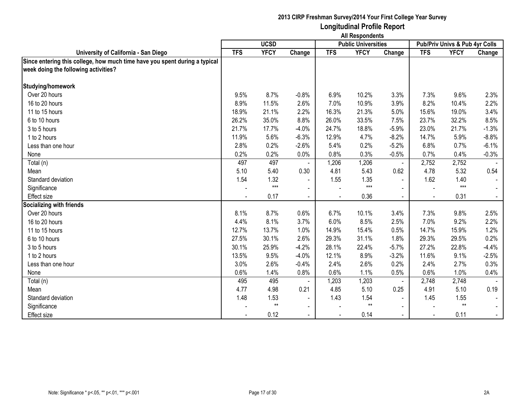|                                                                            | <b>All Respondents</b> |             |                          |            |                            |                          |                                |              |         |  |
|----------------------------------------------------------------------------|------------------------|-------------|--------------------------|------------|----------------------------|--------------------------|--------------------------------|--------------|---------|--|
|                                                                            |                        | <b>UCSD</b> |                          |            | <b>Public Universities</b> |                          | Pub/Priv Univs & Pub 4yr Colls |              |         |  |
| University of California - San Diego                                       | <b>TFS</b>             | <b>YFCY</b> | Change                   | <b>TFS</b> | <b>YFCY</b>                | Change                   | <b>TFS</b>                     | <b>YFCY</b>  | Change  |  |
| Since entering this college, how much time have you spent during a typical |                        |             |                          |            |                            |                          |                                |              |         |  |
| week doing the following activities?                                       |                        |             |                          |            |                            |                          |                                |              |         |  |
| Studying/homework                                                          |                        |             |                          |            |                            |                          |                                |              |         |  |
| Over 20 hours                                                              | 9.5%                   | 8.7%        | $-0.8%$                  | 6.9%       | 10.2%                      | 3.3%                     | 7.3%                           | 9.6%         | 2.3%    |  |
| 16 to 20 hours                                                             | 8.9%                   | 11.5%       | 2.6%                     | 7.0%       | 10.9%                      | 3.9%                     | 8.2%                           | 10.4%        | 2.2%    |  |
| 11 to 15 hours                                                             | 18.9%                  | 21.1%       | 2.2%                     | 16.3%      | 21.3%                      | 5.0%                     | 15.6%                          | 19.0%        | 3.4%    |  |
| 6 to 10 hours                                                              | 26.2%                  | 35.0%       | 8.8%                     | 26.0%      | 33.5%                      | 7.5%                     | 23.7%                          | 32.2%        | 8.5%    |  |
| 3 to 5 hours                                                               | 21.7%                  | 17.7%       | $-4.0%$                  | 24.7%      | 18.8%                      | $-5.9%$                  | 23.0%                          | 21.7%        | $-1.3%$ |  |
| 1 to 2 hours                                                               | 11.9%                  | 5.6%        | $-6.3%$                  | 12.9%      | 4.7%                       | $-8.2%$                  | 14.7%                          | 5.9%         | $-8.8%$ |  |
| Less than one hour                                                         | 2.8%                   | 0.2%        | $-2.6%$                  | 5.4%       | 0.2%                       | $-5.2%$                  | 6.8%                           | 0.7%         | $-6.1%$ |  |
| None                                                                       | 0.2%                   | 0.2%        | 0.0%                     | 0.8%       | 0.3%                       | $-0.5%$                  | 0.7%                           | 0.4%         | $-0.3%$ |  |
| Total (n)                                                                  | 497                    | 497         |                          | 1,206      | 1,206                      | $\overline{\phantom{a}}$ | 2,752                          | 2,752        |         |  |
| Mean                                                                       | 5.10                   | 5.40        | 0.30                     | 4.81       | 5.43                       | 0.62                     | 4.78                           | 5.32         | 0.54    |  |
| Standard deviation                                                         | 1.54                   | 1.32        | $\overline{\phantom{a}}$ | 1.55       | 1.35                       | $\blacksquare$           | 1.62                           | 1.40         |         |  |
| Significance                                                               |                        | $***$       | $\blacksquare$           |            | $***$                      |                          |                                | $***$        |         |  |
| Effect size                                                                |                        | 0.17        | $\blacksquare$           |            | 0.36                       | $\blacksquare$           |                                | 0.31         |         |  |
| <b>Socializing with friends</b>                                            |                        |             |                          |            |                            |                          |                                |              |         |  |
| Over 20 hours                                                              | 8.1%                   | 8.7%        | 0.6%                     | 6.7%       | 10.1%                      | 3.4%                     | 7.3%                           | 9.8%         | 2.5%    |  |
| 16 to 20 hours                                                             | 4.4%                   | 8.1%        | 3.7%                     | 6.0%       | 8.5%                       | 2.5%                     | 7.0%                           | 9.2%         | 2.2%    |  |
| 11 to 15 hours                                                             | 12.7%                  | 13.7%       | 1.0%                     | 14.9%      | 15.4%                      | 0.5%                     | 14.7%                          | 15.9%        | 1.2%    |  |
| 6 to 10 hours                                                              | 27.5%                  | 30.1%       | 2.6%                     | 29.3%      | 31.1%                      | 1.8%                     | 29.3%                          | 29.5%        | 0.2%    |  |
| 3 to 5 hours                                                               | 30.1%                  | 25.9%       | $-4.2%$                  | 28.1%      | 22.4%                      | $-5.7%$                  | 27.2%                          | 22.8%        | $-4.4%$ |  |
| 1 to 2 hours                                                               | 13.5%                  | 9.5%        | $-4.0%$                  | 12.1%      | 8.9%                       | $-3.2%$                  | 11.6%                          | 9.1%         | $-2.5%$ |  |
| Less than one hour                                                         | 3.0%                   | 2.6%        | $-0.4%$                  | 2.4%       | 2.6%                       | 0.2%                     | 2.4%                           | 2.7%         | 0.3%    |  |
| None                                                                       | 0.6%                   | 1.4%        | 0.8%                     | 0.6%       | 1.1%                       | 0.5%                     | 0.6%                           | 1.0%         | 0.4%    |  |
| Total (n)                                                                  | 495                    | 495         |                          | 1,203      | 1,203                      | $\blacksquare$           | 2,748                          | 2,748        |         |  |
| Mean                                                                       | 4.77                   | 4.98        | 0.21                     | 4.85       | 5.10                       | 0.25                     | 4.91                           | 5.10         | 0.19    |  |
| Standard deviation                                                         | 1.48                   | 1.53        | $\blacksquare$           | 1.43       | 1.54                       | $\blacksquare$           | 1.45                           | 1.55         |         |  |
| Significance                                                               |                        | $**$        | $\blacksquare$           |            | $^{\star\star}$            | $\blacksquare$           |                                | $\star\star$ |         |  |
| <b>Effect size</b>                                                         |                        | 0.12        |                          |            | 0.14                       |                          |                                | 0.11         |         |  |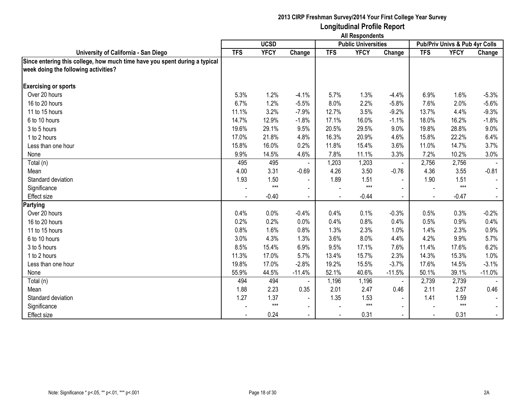|                                                                            | <b>All Respondents</b> |             |                |            |                            |                |            |                                |          |
|----------------------------------------------------------------------------|------------------------|-------------|----------------|------------|----------------------------|----------------|------------|--------------------------------|----------|
|                                                                            |                        | <b>UCSD</b> |                |            | <b>Public Universities</b> |                |            | Pub/Priv Univs & Pub 4yr Colls |          |
| University of California - San Diego                                       | <b>TFS</b>             | <b>YFCY</b> | Change         | <b>TFS</b> | <b>YFCY</b>                | Change         | <b>TFS</b> | <b>YFCY</b>                    | Change   |
| Since entering this college, how much time have you spent during a typical |                        |             |                |            |                            |                |            |                                |          |
| week doing the following activities?                                       |                        |             |                |            |                            |                |            |                                |          |
| <b>Exercising or sports</b>                                                |                        |             |                |            |                            |                |            |                                |          |
| Over 20 hours                                                              | 5.3%                   | 1.2%        | $-4.1%$        | 5.7%       | 1.3%                       | $-4.4%$        | 6.9%       | 1.6%                           | $-5.3%$  |
| 16 to 20 hours                                                             | 6.7%                   | 1.2%        | $-5.5%$        | 8.0%       | 2.2%                       | $-5.8%$        | 7.6%       | 2.0%                           | $-5.6%$  |
| 11 to 15 hours                                                             | 11.1%                  | 3.2%        | $-7.9%$        | 12.7%      | 3.5%                       | $-9.2%$        | 13.7%      | 4.4%                           | $-9.3%$  |
| 6 to 10 hours                                                              | 14.7%                  | 12.9%       | $-1.8%$        | 17.1%      | 16.0%                      | $-1.1%$        | 18.0%      | 16.2%                          | $-1.8%$  |
| 3 to 5 hours                                                               | 19.6%                  | 29.1%       | 9.5%           | 20.5%      | 29.5%                      | 9.0%           | 19.8%      | 28.8%                          | 9.0%     |
| 1 to 2 hours                                                               | 17.0%                  | 21.8%       | 4.8%           | 16.3%      | 20.9%                      | 4.6%           | 15.8%      | 22.2%                          | 6.4%     |
| Less than one hour                                                         | 15.8%                  | 16.0%       | 0.2%           | 11.8%      | 15.4%                      | 3.6%           | 11.0%      | 14.7%                          | 3.7%     |
| None                                                                       | 9.9%                   | 14.5%       | 4.6%           | 7.8%       | 11.1%                      | 3.3%           | 7.2%       | 10.2%                          | 3.0%     |
| Total (n)                                                                  | 495                    | 495         |                | 1,203      | 1,203                      | $\blacksquare$ | 2,756      | 2,756                          |          |
| Mean                                                                       | 4.00                   | 3.31        | $-0.69$        | 4.26       | 3.50                       | $-0.76$        | 4.36       | 3.55                           | $-0.81$  |
| Standard deviation                                                         | 1.93                   | 1.50        | $\blacksquare$ | 1.89       | 1.51                       | $\blacksquare$ | 1.90       | 1.51                           |          |
| Significance                                                               |                        | $***$       | $\blacksquare$ |            | $***$                      | $\blacksquare$ |            | $***$                          |          |
| <b>Effect size</b>                                                         |                        | $-0.40$     | $\blacksquare$ |            | $-0.44$                    | $\mathbf{r}$   |            | $-0.47$                        |          |
| <b>Partying</b>                                                            |                        |             |                |            |                            |                |            |                                |          |
| Over 20 hours                                                              | 0.4%                   | 0.0%        | $-0.4%$        | 0.4%       | 0.1%                       | $-0.3%$        | 0.5%       | 0.3%                           | $-0.2%$  |
| 16 to 20 hours                                                             | 0.2%                   | 0.2%        | 0.0%           | 0.4%       | 0.8%                       | 0.4%           | 0.5%       | 0.9%                           | 0.4%     |
| 11 to 15 hours                                                             | 0.8%                   | 1.6%        | 0.8%           | 1.3%       | 2.3%                       | 1.0%           | 1.4%       | 2.3%                           | 0.9%     |
| 6 to 10 hours                                                              | 3.0%                   | 4.3%        | 1.3%           | 3.6%       | 8.0%                       | 4.4%           | 4.2%       | 9.9%                           | 5.7%     |
| 3 to 5 hours                                                               | 8.5%                   | 15.4%       | 6.9%           | 9.5%       | 17.1%                      | 7.6%           | 11.4%      | 17.6%                          | 6.2%     |
| 1 to 2 hours                                                               | 11.3%                  | 17.0%       | 5.7%           | 13.4%      | 15.7%                      | 2.3%           | 14.3%      | 15.3%                          | 1.0%     |
| Less than one hour                                                         | 19.8%                  | 17.0%       | $-2.8%$        | 19.2%      | 15.5%                      | $-3.7%$        | 17.6%      | 14.5%                          | $-3.1%$  |
| None                                                                       | 55.9%                  | 44.5%       | $-11.4%$       | 52.1%      | 40.6%                      | $-11.5%$       | 50.1%      | 39.1%                          | $-11.0%$ |
| Total (n)                                                                  | 494                    | 494         |                | 1,196      | 1,196                      | $\blacksquare$ | 2,739      | 2,739                          |          |
| Mean                                                                       | 1.88                   | 2.23        | 0.35           | 2.01       | 2.47                       | 0.46           | 2.11       | 2.57                           | 0.46     |
| Standard deviation                                                         | 1.27                   | 1.37        | $\blacksquare$ | 1.35       | 1.53                       | $\blacksquare$ | 1.41       | 1.59                           |          |
| Significance                                                               |                        | $***$       | $\blacksquare$ |            | $***$                      | $\blacksquare$ |            | $***$                          |          |
| <b>Effect size</b>                                                         |                        | 0.24        |                |            | 0.31                       |                |            | 0.31                           |          |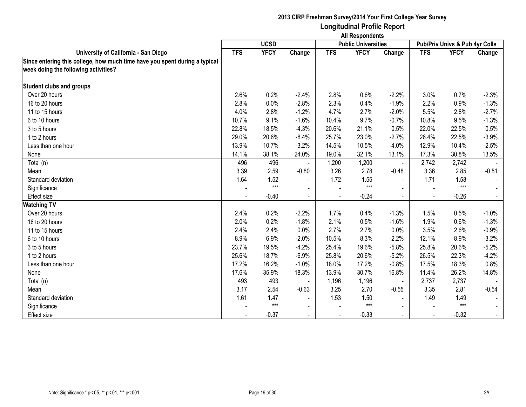|                                                                            | <b>All Respondents</b> |             |                |            |                            |                          |            |                                |         |  |
|----------------------------------------------------------------------------|------------------------|-------------|----------------|------------|----------------------------|--------------------------|------------|--------------------------------|---------|--|
|                                                                            |                        | <b>UCSD</b> |                |            | <b>Public Universities</b> |                          |            | Pub/Priv Univs & Pub 4yr Colls |         |  |
| University of California - San Diego                                       | <b>TFS</b>             | <b>YFCY</b> | Change         | <b>TFS</b> | <b>YFCY</b>                | Change                   | <b>TFS</b> | <b>YFCY</b>                    | Change  |  |
| Since entering this college, how much time have you spent during a typical |                        |             |                |            |                            |                          |            |                                |         |  |
| week doing the following activities?                                       |                        |             |                |            |                            |                          |            |                                |         |  |
| <b>Student clubs and groups</b>                                            |                        |             |                |            |                            |                          |            |                                |         |  |
| Over 20 hours                                                              | 2.6%                   | 0.2%        | $-2.4%$        | 2.8%       | 0.6%                       | $-2.2%$                  | 3.0%       | 0.7%                           | $-2.3%$ |  |
| 16 to 20 hours                                                             | 2.8%                   | 0.0%        | $-2.8%$        | 2.3%       | 0.4%                       | $-1.9%$                  | 2.2%       | 0.9%                           | $-1.3%$ |  |
| 11 to 15 hours                                                             | 4.0%                   | 2.8%        | $-1.2%$        | 4.7%       | 2.7%                       | $-2.0%$                  | 5.5%       | 2.8%                           | $-2.7%$ |  |
| 6 to 10 hours                                                              | 10.7%                  | 9.1%        | $-1.6%$        | 10.4%      | 9.7%                       | $-0.7%$                  | 10.8%      | 9.5%                           | $-1.3%$ |  |
| 3 to 5 hours                                                               | 22.8%                  | 18.5%       | $-4.3%$        | 20.6%      | 21.1%                      | 0.5%                     | 22.0%      | 22.5%                          | 0.5%    |  |
| 1 to 2 hours                                                               | 29.0%                  | 20.6%       | $-8.4%$        | 25.7%      | 23.0%                      | $-2.7%$                  | 26.4%      | 22.5%                          | $-3.9%$ |  |
| Less than one hour                                                         | 13.9%                  | 10.7%       | $-3.2%$        | 14.5%      | 10.5%                      | $-4.0%$                  | 12.9%      | 10.4%                          | $-2.5%$ |  |
| None                                                                       | 14.1%                  | 38.1%       | 24.0%          | 19.0%      | 32.1%                      | 13.1%                    | 17.3%      | 30.8%                          | 13.5%   |  |
| Total (n)                                                                  | 496                    | 496         |                | 1,200      | 1,200                      | $\overline{\phantom{a}}$ | 2,742      | 2,742                          |         |  |
| Mean                                                                       | 3.39                   | 2.59        | $-0.80$        | 3.26       | 2.78                       | $-0.48$                  | 3.36       | 2.85                           | $-0.51$ |  |
| Standard deviation                                                         | 1.64                   | 1.52        | $\blacksquare$ | 1.72       | 1.55                       | $\blacksquare$           | 1.71       | 1.58                           |         |  |
| Significance                                                               |                        | $***$       | $\blacksquare$ |            | $***$                      |                          |            | $***$                          |         |  |
| Effect size                                                                |                        | $-0.40$     | $\blacksquare$ |            | $-0.24$                    | $\blacksquare$           |            | $-0.26$                        |         |  |
| <b>Watching TV</b>                                                         |                        |             |                |            |                            |                          |            |                                |         |  |
| Over 20 hours                                                              | 2.4%                   | 0.2%        | $-2.2%$        | 1.7%       | 0.4%                       | $-1.3%$                  | 1.5%       | 0.5%                           | $-1.0%$ |  |
| 16 to 20 hours                                                             | 2.0%                   | 0.2%        | $-1.8%$        | 2.1%       | 0.5%                       | $-1.6%$                  | 1.9%       | 0.6%                           | $-1.3%$ |  |
| 11 to 15 hours                                                             | 2.4%                   | 2.4%        | 0.0%           | 2.7%       | 2.7%                       | 0.0%                     | 3.5%       | 2.6%                           | $-0.9%$ |  |
| 6 to 10 hours                                                              | 8.9%                   | 6.9%        | $-2.0%$        | 10.5%      | 8.3%                       | $-2.2%$                  | 12.1%      | 8.9%                           | $-3.2%$ |  |
| 3 to 5 hours                                                               | 23.7%                  | 19.5%       | $-4.2%$        | 25.4%      | 19.6%                      | $-5.8%$                  | 25.8%      | 20.6%                          | $-5.2%$ |  |
| 1 to 2 hours                                                               | 25.6%                  | 18.7%       | $-6.9%$        | 25.8%      | 20.6%                      | $-5.2%$                  | 26.5%      | 22.3%                          | $-4.2%$ |  |
| Less than one hour                                                         | 17.2%                  | 16.2%       | $-1.0%$        | 18.0%      | 17.2%                      | $-0.8%$                  | 17.5%      | 18.3%                          | 0.8%    |  |
| None                                                                       | 17.6%                  | 35.9%       | 18.3%          | 13.9%      | 30.7%                      | 16.8%                    | 11.4%      | 26.2%                          | 14.8%   |  |
| Total (n)                                                                  | 493                    | 493         |                | 1,196      | 1,196                      | $\blacksquare$           | 2,737      | 2,737                          |         |  |
| Mean                                                                       | 3.17                   | 2.54        | $-0.63$        | 3.25       | 2.70                       | $-0.55$                  | 3.35       | 2.81                           | $-0.54$ |  |
| Standard deviation                                                         | 1.61                   | 1.47        | $\blacksquare$ | 1.53       | 1.50                       | $\blacksquare$           | 1.49       | 1.49                           |         |  |
| Significance                                                               |                        | $***$       | $\blacksquare$ |            | $***$                      | $\blacksquare$           |            | $***$                          |         |  |
| <b>Effect size</b>                                                         |                        | $-0.37$     |                |            | $-0.33$                    |                          |            | $-0.32$                        |         |  |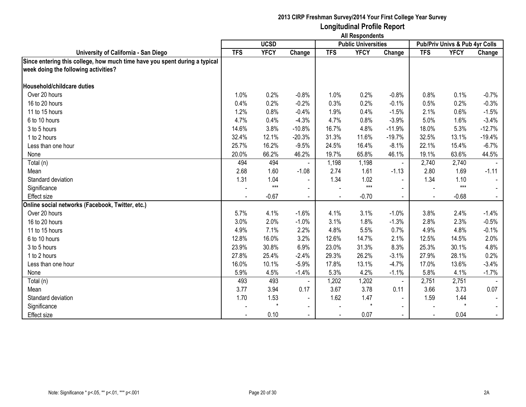|                                                                            | <b>All Respondents</b> |             |                |            |                            |                |            |                                |          |  |
|----------------------------------------------------------------------------|------------------------|-------------|----------------|------------|----------------------------|----------------|------------|--------------------------------|----------|--|
|                                                                            |                        | <b>UCSD</b> |                |            | <b>Public Universities</b> |                |            | Pub/Priv Univs & Pub 4yr Colls |          |  |
| University of California - San Diego                                       | <b>TFS</b>             | <b>YFCY</b> | Change         | <b>TFS</b> | <b>YFCY</b>                | Change         | <b>TFS</b> | <b>YFCY</b>                    | Change   |  |
| Since entering this college, how much time have you spent during a typical |                        |             |                |            |                            |                |            |                                |          |  |
| week doing the following activities?                                       |                        |             |                |            |                            |                |            |                                |          |  |
| Household/childcare duties                                                 |                        |             |                |            |                            |                |            |                                |          |  |
| Over 20 hours                                                              | 1.0%                   | 0.2%        | $-0.8%$        | 1.0%       | 0.2%                       | $-0.8%$        | 0.8%       | 0.1%                           | $-0.7%$  |  |
| 16 to 20 hours                                                             | 0.4%                   | 0.2%        | $-0.2%$        | 0.3%       | 0.2%                       | $-0.1%$        | 0.5%       | 0.2%                           | $-0.3%$  |  |
| 11 to 15 hours                                                             | 1.2%                   | 0.8%        | $-0.4%$        | 1.9%       | 0.4%                       | $-1.5%$        | 2.1%       | 0.6%                           | $-1.5%$  |  |
| 6 to 10 hours                                                              | 4.7%                   | 0.4%        | $-4.3%$        | 4.7%       | 0.8%                       | $-3.9%$        | 5.0%       | 1.6%                           | $-3.4%$  |  |
| 3 to 5 hours                                                               | 14.6%                  | 3.8%        | $-10.8%$       | 16.7%      | 4.8%                       | $-11.9%$       | 18.0%      | 5.3%                           | $-12.7%$ |  |
| 1 to 2 hours                                                               | 32.4%                  | 12.1%       | $-20.3%$       | 31.3%      | 11.6%                      | $-19.7%$       | 32.5%      | 13.1%                          | $-19.4%$ |  |
| Less than one hour                                                         | 25.7%                  | 16.2%       | $-9.5%$        | 24.5%      | 16.4%                      | $-8.1%$        | 22.1%      | 15.4%                          | $-6.7%$  |  |
| None                                                                       | 20.0%                  | 66.2%       | 46.2%          | 19.7%      | 65.8%                      | 46.1%          | 19.1%      | 63.6%                          | 44.5%    |  |
| Total (n)                                                                  | 494                    | 494         |                | 1,198      | 1,198                      | $\blacksquare$ | 2,740      | 2,740                          |          |  |
| Mean                                                                       | 2.68                   | 1.60        | $-1.08$        | 2.74       | 1.61                       | $-1.13$        | 2.80       | 1.69                           | $-1.11$  |  |
| Standard deviation                                                         | 1.31                   | 1.04        | $\blacksquare$ | 1.34       | 1.02                       |                | 1.34       | 1.10                           |          |  |
| Significance                                                               |                        | $***$       | $\blacksquare$ |            | $***$                      | $\blacksquare$ |            | $***$                          |          |  |
| <b>Effect size</b>                                                         |                        | $-0.67$     | $\blacksquare$ |            | $-0.70$                    | $\mathbf{r}$   |            | $-0.68$                        |          |  |
| Online social networks (Facebook, Twitter, etc.)                           |                        |             |                |            |                            |                |            |                                |          |  |
| Over 20 hours                                                              | 5.7%                   | 4.1%        | $-1.6%$        | 4.1%       | 3.1%                       | $-1.0%$        | 3.8%       | 2.4%                           | $-1.4%$  |  |
| 16 to 20 hours                                                             | 3.0%                   | 2.0%        | $-1.0%$        | 3.1%       | 1.8%                       | $-1.3%$        | 2.8%       | 2.3%                           | $-0.5%$  |  |
| 11 to 15 hours                                                             | 4.9%                   | 7.1%        | 2.2%           | 4.8%       | 5.5%                       | 0.7%           | 4.9%       | 4.8%                           | $-0.1%$  |  |
| 6 to 10 hours                                                              | 12.8%                  | 16.0%       | 3.2%           | 12.6%      | 14.7%                      | 2.1%           | 12.5%      | 14.5%                          | 2.0%     |  |
| 3 to 5 hours                                                               | 23.9%                  | 30.8%       | 6.9%           | 23.0%      | 31.3%                      | 8.3%           | 25.3%      | 30.1%                          | 4.8%     |  |
| 1 to 2 hours                                                               | 27.8%                  | 25.4%       | $-2.4%$        | 29.3%      | 26.2%                      | $-3.1%$        | 27.9%      | 28.1%                          | 0.2%     |  |
| Less than one hour                                                         | 16.0%                  | 10.1%       | $-5.9%$        | 17.8%      | 13.1%                      | $-4.7%$        | 17.0%      | 13.6%                          | $-3.4%$  |  |
| None                                                                       | 5.9%                   | 4.5%        | $-1.4%$        | 5.3%       | 4.2%                       | $-1.1%$        | 5.8%       | 4.1%                           | $-1.7%$  |  |
| Total (n)                                                                  | 493                    | 493         |                | 1,202      | 1,202                      | $\blacksquare$ | 2,751      | 2,751                          |          |  |
| Mean                                                                       | 3.77                   | 3.94        | 0.17           | 3.67       | 3.78                       | 0.11           | 3.66       | 3.73                           | 0.07     |  |
| Standard deviation                                                         | 1.70                   | 1.53        | $\blacksquare$ | 1.62       | 1.47                       | $\sim$         | 1.59       | 1.44                           |          |  |
| Significance                                                               |                        | $\star$     | $\blacksquare$ |            | $\star$                    | $\blacksquare$ |            | $\star$                        |          |  |
| <b>Effect size</b>                                                         |                        | 0.10        |                |            | 0.07                       | $\sim$         |            | 0.04                           |          |  |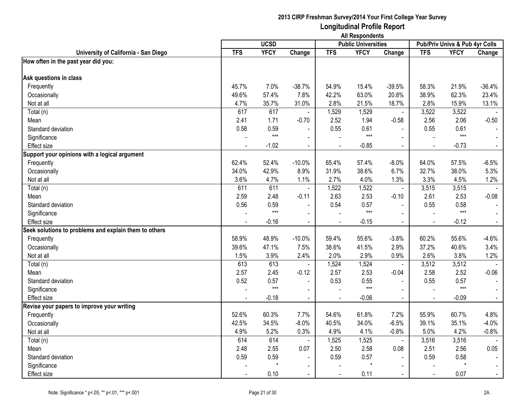|                                                       | <b>All Respondents</b> |             |                |                          |                            |                          |                |                                           |                |  |
|-------------------------------------------------------|------------------------|-------------|----------------|--------------------------|----------------------------|--------------------------|----------------|-------------------------------------------|----------------|--|
|                                                       |                        | <b>UCSD</b> |                |                          | <b>Public Universities</b> |                          |                | <b>Pub/Priv Univs &amp; Pub 4yr Colls</b> |                |  |
| University of California - San Diego                  | <b>TFS</b>             | <b>YFCY</b> | Change         | <b>TFS</b>               | <b>YFCY</b>                | Change                   | <b>TFS</b>     | <b>YFCY</b>                               | Change         |  |
| How often in the past year did you:                   |                        |             |                |                          |                            |                          |                |                                           |                |  |
|                                                       |                        |             |                |                          |                            |                          |                |                                           |                |  |
| Ask questions in class                                |                        |             |                |                          |                            |                          |                |                                           |                |  |
| Frequently                                            | 45.7%                  | 7.0%        | $-38.7%$       | 54.9%                    | 15.4%                      | $-39.5%$                 | 58.3%          | 21.9%                                     | $-36.4%$       |  |
| Occasionally                                          | 49.6%                  | 57.4%       | 7.8%           | 42.2%                    | 63.0%                      | 20.8%                    | 38.9%          | 62.3%                                     | 23.4%          |  |
| Not at all                                            | 4.7%                   | 35.7%       | 31.0%          | 2.8%                     | 21.5%                      | 18.7%                    | 2.8%           | 15.9%                                     | 13.1%          |  |
| Total (n)                                             | 617                    | 617         | $\blacksquare$ | 1,529                    | 1,529                      | $\blacksquare$           | 3,522          | 3,522                                     |                |  |
| Mean                                                  | 2.41                   | 1.71        | $-0.70$        | 2.52                     | 1.94                       | $-0.58$                  | 2.56           | 2.06                                      | $-0.50$        |  |
| Standard deviation                                    | 0.58                   | 0.59        | $\blacksquare$ | 0.55                     | 0.61                       | $\ddot{\phantom{a}}$     | 0.55           | 0.61                                      |                |  |
| Significance                                          |                        | $***$       | $\blacksquare$ |                          | $***$                      | $\overline{a}$           |                | $***$                                     |                |  |
| <b>Effect size</b>                                    |                        | $-1.02$     | $\blacksquare$ |                          | $-0.85$                    | $\blacksquare$           | $\blacksquare$ | $-0.73$                                   | $\sim$         |  |
| Support your opinions with a logical argument         |                        |             |                |                          |                            |                          |                |                                           |                |  |
| Frequently                                            | 62.4%                  | 52.4%       | $-10.0%$       | 65.4%                    | 57.4%                      | $-8.0%$                  | 64.0%          | 57.5%                                     | $-6.5%$        |  |
| Occasionally                                          | 34.0%                  | 42.9%       | 8.9%           | 31.9%                    | 38.6%                      | 6.7%                     | 32.7%          | 38.0%                                     | 5.3%           |  |
| Not at all                                            | 3.6%                   | 4.7%        | 1.1%           | 2.7%                     | 4.0%                       | 1.3%                     | 3.3%           | 4.5%                                      | 1.2%           |  |
| Total (n)                                             | 611                    | 611         | $\blacksquare$ | 1,522                    | 1,522                      | $\blacksquare$           | 3,515          | 3,515                                     |                |  |
| Mean                                                  | 2.59                   | 2.48        | $-0.11$        | 2.63                     | 2.53                       | $-0.10$                  | 2.61           | 2.53                                      | $-0.08$        |  |
| Standard deviation                                    | 0.56                   | 0.59        | $\blacksquare$ | 0.54                     | 0.57                       | $\blacksquare$           | 0.55           | 0.58                                      |                |  |
| Significance                                          |                        | $***$       |                |                          | $***$                      |                          |                | $***$                                     |                |  |
| <b>Effect size</b>                                    |                        | $-0.16$     | $\mathbf{r}$   | $\overline{a}$           | $-0.15$                    | $\blacksquare$           | $\blacksquare$ | $-0.12$                                   |                |  |
| Seek solutions to problems and explain them to others |                        |             |                |                          |                            |                          |                |                                           |                |  |
| Frequently                                            | 58.9%                  | 48.9%       | $-10.0%$       | 59.4%                    | 55.6%                      | $-3.8%$                  | 60.2%          | 55.6%                                     | $-4.6%$        |  |
| Occasionally                                          | 39.6%                  | 47.1%       | 7.5%           | 38.6%                    | 41.5%                      | 2.9%                     | 37.2%          | 40.6%                                     | 3.4%           |  |
| Not at all                                            | 1.5%                   | 3.9%        | 2.4%           | 2.0%                     | 2.9%                       | 0.9%                     | 2.6%           | 3.8%                                      | 1.2%           |  |
| Total (n)                                             | 613                    | 613         |                | 1,524                    | 1,524                      | $\blacksquare$           | 3,512          | 3,512                                     |                |  |
| Mean                                                  | 2.57                   | 2.45        | $-0.12$        | 2.57                     | 2.53                       | $-0.04$                  | 2.58           | 2.52                                      | $-0.06$        |  |
| Standard deviation                                    | 0.52                   | 0.57        | $\blacksquare$ | 0.53                     | 0.55                       | $\blacksquare$           | 0.55           | 0.57                                      | $\sim$         |  |
| Significance                                          |                        | $***$       | $\mathbf{r}$   |                          | $***$                      |                          |                | $***$                                     |                |  |
| <b>Effect size</b>                                    | $\blacksquare$         | $-0.18$     | $\blacksquare$ | $\Delta$                 | $-0.06$                    | $\blacksquare$           | $\blacksquare$ | $-0.09$                                   | $\sim$         |  |
| Revise your papers to improve your writing            |                        |             |                |                          |                            |                          |                |                                           |                |  |
| Frequently                                            | 52.6%                  | 60.3%       | 7.7%           | 54.6%                    | 61.8%                      | 7.2%                     | 55.9%          | 60.7%                                     | 4.8%           |  |
| Occasionally                                          | 42.5%                  | 34.5%       | $-8.0%$        | 40.5%                    | 34.0%                      | $-6.5%$                  | 39.1%          | 35.1%                                     | $-4.0%$        |  |
| Not at all                                            | 4.9%                   | 5.2%        | 0.3%           | 4.9%                     | 4.1%                       | $-0.8%$                  | 5.0%           | 4.2%                                      | $-0.8%$        |  |
| $\overline{T}$ otal (n)                               | 614                    | 614         |                | 1,525                    | 1,525                      | $\blacksquare$           | 3,516          | 3,516                                     | $\overline{a}$ |  |
| Mean                                                  | 2.48                   | 2.55        | 0.07           | 2.50                     | 2.58                       | 0.08                     | 2.51           | 2.56                                      | 0.05           |  |
| Standard deviation                                    | 0.59                   | 0.59        | $\blacksquare$ | 0.59                     | 0.57                       | $\overline{\phantom{a}}$ | 0.59           | 0.58                                      |                |  |
| Significance                                          |                        | $\star$     | $\sim$         |                          | $\star$                    | $\sim$                   |                | $\star$                                   |                |  |
| <b>Effect size</b>                                    | ÷                      | 0.10        | $\blacksquare$ | $\overline{\phantom{a}}$ | 0.11                       | $\mathbf{u}$             | $\blacksquare$ | 0.07                                      | $\sim$         |  |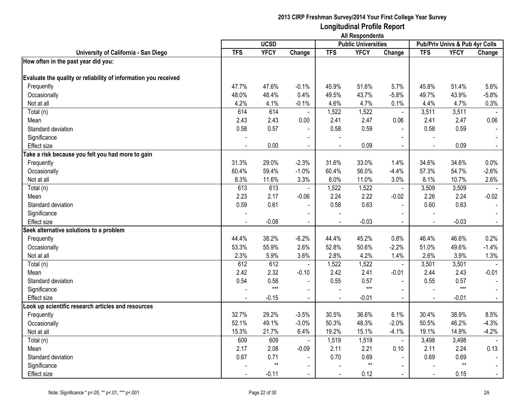|                                                                 | <b>All Respondents</b> |             |                |                |                            |                |                |                                |                |
|-----------------------------------------------------------------|------------------------|-------------|----------------|----------------|----------------------------|----------------|----------------|--------------------------------|----------------|
|                                                                 |                        | <b>UCSD</b> |                |                | <b>Public Universities</b> |                |                | Pub/Priv Univs & Pub 4yr Colls |                |
| University of California - San Diego                            | <b>TFS</b>             | <b>YFCY</b> | Change         | <b>TFS</b>     | <b>YFCY</b>                | Change         | <b>TFS</b>     | <b>YFCY</b>                    | Change         |
| How often in the past year did you:                             |                        |             |                |                |                            |                |                |                                |                |
| Evaluate the quality or reliability of information you received |                        |             |                |                |                            |                |                |                                |                |
| Frequently                                                      | 47.7%                  | 47.6%       | $-0.1%$        | 45.9%          | 51.6%                      | 5.7%           | 45.8%          | 51.4%                          | 5.6%           |
| Occasionally                                                    | 48.0%                  | 48.4%       | 0.4%           | 49.5%          | 43.7%                      | $-5.8%$        | 49.7%          | 43.9%                          | $-5.8%$        |
| Not at all                                                      | 4.2%                   | 4.1%        | $-0.1%$        | 4.6%           | 4.7%                       | 0.1%           | 4.4%           | 4.7%                           | 0.3%           |
| Total (n)                                                       | 614                    | 614         |                | 1,522          | 1,522                      | $\blacksquare$ | 3,511          | 3,511                          |                |
| Mean                                                            | 2.43                   | 2.43        | 0.00           | 2.41           | 2.47                       | 0.06           | 2.41           | 2.47                           | 0.06           |
| Standard deviation                                              | 0.58                   | 0.57        |                | 0.58           | 0.59                       |                | 0.58           | 0.59                           |                |
| Significance                                                    |                        |             | $\blacksquare$ |                |                            | $\blacksquare$ |                |                                |                |
| <b>Effect size</b>                                              |                        | 0.00        | $\blacksquare$ |                | 0.09                       | $\blacksquare$ | $\overline{a}$ | 0.09                           | $\blacksquare$ |
| Take a risk because you felt you had more to gain               |                        |             |                |                |                            |                |                |                                |                |
| Frequently                                                      | 31.3%                  | 29.0%       | $-2.3%$        | 31.6%          | 33.0%                      | 1.4%           | 34.6%          | 34.6%                          | 0.0%           |
| Occasionally                                                    | 60.4%                  | 59.4%       | $-1.0%$        | 60.4%          | 56.0%                      | $-4.4%$        | 57.3%          | 54.7%                          | $-2.6%$        |
| Not at all                                                      | 8.3%                   | 11.6%       | 3.3%           | 8.0%           | 11.0%                      | 3.0%           | 8.1%           | 10.7%                          | 2.6%           |
| Total (n)                                                       | 613                    | 613         |                | 1,522          | 1,522                      | $\blacksquare$ | 3,509          | 3,509                          |                |
| Mean                                                            | 2.23                   | 2.17        | $-0.06$        | 2.24           | 2.22                       | $-0.02$        | 2.26           | 2.24                           | $-0.02$        |
| Standard deviation                                              | 0.59                   | 0.61        | $\blacksquare$ | 0.58           | 0.63                       | $\blacksquare$ | 0.60           | 0.63                           |                |
| Significance                                                    |                        |             |                |                |                            |                |                |                                |                |
| <b>Effect size</b>                                              |                        | $-0.08$     |                |                | $-0.03$                    | $\mathbf{r}$   |                | $-0.03$                        |                |
| Seek alternative solutions to a problem                         |                        |             |                |                |                            |                |                |                                |                |
| Frequently                                                      | 44.4%                  | 38.2%       | $-6.2%$        | 44.4%          | 45.2%                      | 0.8%           | 46.4%          | 46.6%                          | 0.2%           |
| Occasionally                                                    | 53.3%                  | 55.9%       | 2.6%           | 52.8%          | 50.6%                      | $-2.2%$        | 51.0%          | 49.6%                          | $-1.4%$        |
| Not at all                                                      | 2.3%                   | 5.9%        | 3.6%           | 2.8%           | 4.2%                       | 1.4%           | 2.6%           | 3.9%                           | 1.3%           |
| Total (n)                                                       | 612                    | 612         |                | 1,522          | 1,522                      | $\blacksquare$ | 3,501          | 3,501                          |                |
| Mean                                                            | 2.42                   | 2.32        | $-0.10$        | 2.42           | 2.41                       | $-0.01$        | 2.44           | 2.43                           | $-0.01$        |
| Standard deviation                                              | 0.54                   | 0.58        |                | 0.55           | 0.57                       |                | 0.55           | 0.57                           |                |
| Significance                                                    |                        | $***$       | $\blacksquare$ |                | $***$                      | $\blacksquare$ |                | $***$                          | $\sim$         |
| <b>Effect size</b>                                              | $\blacksquare$         | $-0.15$     | $\blacksquare$ | $\blacksquare$ | $-0.01$                    | $\blacksquare$ | $\blacksquare$ | $-0.01$                        | $\sim$         |
| ook up scientific research articles and resources               |                        |             |                |                |                            |                |                |                                |                |
| Frequently                                                      | 32.7%                  | 29.2%       | $-3.5%$        | 30.5%          | 36.6%                      | 6.1%           | 30.4%          | 38.9%                          | 8.5%           |
| Occasionally                                                    | 52.1%                  | 49.1%       | $-3.0%$        | 50.3%          | 48.3%                      | $-2.0%$        | 50.5%          | 46.2%                          | $-4.3%$        |
| Not at all                                                      | 15.3%                  | 21.7%       | 6.4%           | 19.2%          | 15.1%                      | $-4.1%$        | 19.1%          | 14.9%                          | $-4.2%$        |
| Total (n)                                                       | 609                    | 609         | $\sim$         | 1,519          | 1,519                      | $\blacksquare$ | 3,498          | 3,498                          |                |
| Mean                                                            | 2.17                   | 2.08        | $-0.09$        | 2.11           | 2.21                       | 0.10           | 2.11           | 2.24                           | 0.13           |
| Standard deviation                                              | 0.67                   | 0.71        | $\blacksquare$ | 0.70           | 0.69                       |                | 0.69           | 0.69                           |                |
| Significance                                                    |                        | $**$        |                |                | $**$                       | $\blacksquare$ |                | $**$                           |                |
| Effect size                                                     |                        | $-0.11$     | $\blacksquare$ |                | 0.12                       | $\blacksquare$ | $\overline{a}$ | 0.15                           | $\blacksquare$ |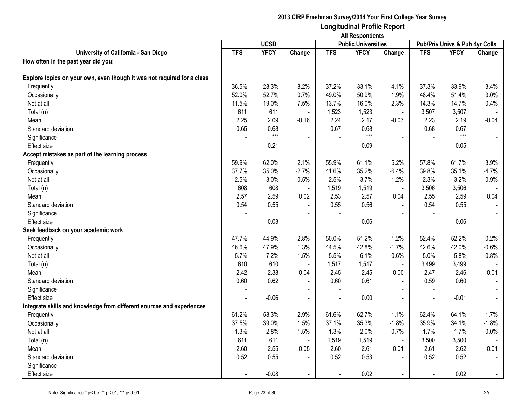|                                                                         | <b>All Respondents</b> |               |                |            |                            |                |                |                                |                |
|-------------------------------------------------------------------------|------------------------|---------------|----------------|------------|----------------------------|----------------|----------------|--------------------------------|----------------|
|                                                                         |                        | <b>UCSD</b>   |                |            | <b>Public Universities</b> |                |                | Pub/Priv Univs & Pub 4yr Colls |                |
| University of California - San Diego                                    | <b>TFS</b>             | <b>YFCY</b>   | Change         | <b>TFS</b> | <b>YFCY</b>                | Change         | <b>TFS</b>     | <b>YFCY</b>                    | Change         |
| How often in the past year did you:                                     |                        |               |                |            |                            |                |                |                                |                |
|                                                                         |                        |               |                |            |                            |                |                |                                |                |
| Explore topics on your own, even though it was not required for a class |                        |               |                |            |                            |                |                |                                |                |
| Frequently                                                              | 36.5%                  | 28.3%         | $-8.2%$        | 37.2%      | 33.1%                      | $-4.1%$        | 37.3%          | 33.9%                          | $-3.4%$        |
| Occasionally                                                            | 52.0%                  | 52.7%         | 0.7%           | 49.0%      | 50.9%                      | 1.9%           | 48.4%          | 51.4%                          | 3.0%           |
| Not at all                                                              | 11.5%                  | 19.0%         | 7.5%           | 13.7%      | 16.0%                      | 2.3%           | 14.3%          | 14.7%                          | 0.4%           |
| Total (n)                                                               | 611                    | 611           | $\blacksquare$ | 1,523      | 1,523                      | $\blacksquare$ | 3,507          | 3,507                          |                |
| Mean                                                                    | 2.25                   | 2.09          | $-0.16$        | 2.24       | 2.17                       | $-0.07$        | 2.23           | 2.19                           | $-0.04$        |
| Standard deviation                                                      | 0.65                   | 0.68<br>$***$ |                | 0.67       | 0.68<br>$***$              | $\mathbf{r}$   | 0.68           | 0.67<br>$***$                  |                |
| Significance                                                            |                        |               | $\blacksquare$ |            |                            | $\mathbf{r}$   |                |                                |                |
| Effect size                                                             |                        | $-0.21$       | $\blacksquare$ |            | $-0.09$                    | $\blacksquare$ | $\overline{a}$ | $-0.05$                        | $\blacksquare$ |
| Accept mistakes as part of the learning process                         |                        |               |                |            |                            |                |                |                                |                |
| Frequently                                                              | 59.9%                  | 62.0%         | 2.1%           | 55.9%      | 61.1%                      | 5.2%           | 57.8%          | 61.7%                          | 3.9%           |
| Occasionally                                                            | 37.7%                  | 35.0%         | $-2.7%$        | 41.6%      | 35.2%                      | $-6.4%$        | 39.8%          | 35.1%                          | $-4.7%$        |
| Not at all                                                              | 2.5%                   | 3.0%          | 0.5%           | 2.5%       | 3.7%                       | 1.2%           | 2.3%           | 3.2%                           | 0.9%           |
| Total (n)                                                               | 608                    | 608           |                | 1,519      | 1,519                      | $\blacksquare$ | 3,506          | 3,506                          |                |
| Mean                                                                    | 2.57                   | 2.59          | 0.02           | 2.53       | 2.57                       | 0.04           | 2.55           | 2.59                           | 0.04           |
| Standard deviation                                                      | 0.54                   | 0.55          | $\blacksquare$ | 0.55       | 0.56                       | $\mathbf{r}$   | 0.54           | 0.55                           |                |
| Significance                                                            |                        |               |                |            |                            |                |                |                                |                |
| Effect size                                                             |                        | 0.03          |                |            | 0.06                       |                |                | 0.06                           | $\blacksquare$ |
| Seek feedback on your academic work                                     |                        |               |                |            |                            |                |                |                                |                |
| Frequently                                                              | 47.7%                  | 44.9%         | $-2.8%$        | 50.0%      | 51.2%                      | 1.2%           | 52.4%          | 52.2%                          | $-0.2%$        |
| Occasionally                                                            | 46.6%                  | 47.9%         | 1.3%           | 44.5%      | 42.8%                      | $-1.7%$        | 42.6%          | 42.0%                          | $-0.6%$        |
| Not at all                                                              | 5.7%                   | 7.2%          | 1.5%           | 5.5%       | 6.1%                       | 0.6%           | 5.0%           | 5.8%                           | 0.8%           |
| Total (n)                                                               | 610                    | 610           | $\blacksquare$ | 1,517      | 1,517                      | $\blacksquare$ | 3,499          | 3,499                          |                |
| Mean                                                                    | 2.42                   | 2.38          | $-0.04$        | 2.45       | 2.45                       | 0.00           | 2.47           | 2.46                           | $-0.01$        |
| Standard deviation                                                      | 0.60                   | 0.62          |                | 0.60       | 0.61                       | $\blacksquare$ | 0.59           | 0.60                           |                |
| Significance                                                            |                        |               | $\blacksquare$ |            |                            | $\blacksquare$ |                |                                |                |
| <b>Effect size</b>                                                      |                        | $-0.06$       | $\blacksquare$ |            | 0.00                       | $\blacksquare$ | $\overline{a}$ | $-0.01$                        | $\blacksquare$ |
| Integrate skills and knowledge from different sources and experiences   |                        |               |                |            |                            |                |                |                                |                |
| Frequently                                                              | 61.2%                  | 58.3%         | $-2.9%$        | 61.6%      | 62.7%                      | 1.1%           | 62.4%          | 64.1%                          | 1.7%           |
| Occasionally                                                            | 37.5%                  | 39.0%         | 1.5%           | 37.1%      | 35.3%                      | $-1.8%$        | 35.9%          | 34.1%                          | $-1.8%$        |
| Not at all                                                              | 1.3%                   | 2.8%          | 1.5%           | 1.3%       | 2.0%                       | 0.7%           | 1.7%           | 1.7%                           | 0.0%           |
| Total (n)                                                               | 611                    | 611           | $\blacksquare$ | 1,519      | 1,519                      | $\blacksquare$ | 3,500          | 3,500                          |                |
| Mean                                                                    | 2.60                   | 2.55          | $-0.05$        | 2.60       | 2.61                       | 0.01           | 2.61           | 2.62                           | 0.01           |
| Standard deviation                                                      | 0.52                   | 0.55          |                | 0.52       | 0.53                       |                | 0.52           | 0.52                           |                |
| Significance                                                            |                        |               |                |            |                            | $\blacksquare$ |                |                                |                |
| Effect size                                                             |                        | $-0.08$       | $\blacksquare$ |            | 0.02                       |                |                | 0.02                           | $\blacksquare$ |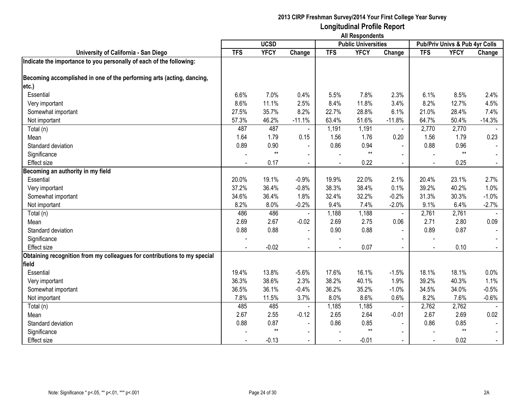|                                                                          | <b>All Respondents</b> |             |                |            |                            |                          |                                |             |                |  |
|--------------------------------------------------------------------------|------------------------|-------------|----------------|------------|----------------------------|--------------------------|--------------------------------|-------------|----------------|--|
|                                                                          |                        | <b>UCSD</b> |                |            | <b>Public Universities</b> |                          | Pub/Priv Univs & Pub 4yr Colls |             |                |  |
| University of California - San Diego                                     | <b>TFS</b>             | <b>YFCY</b> | Change         | <b>TFS</b> | <b>YFCY</b>                | Change                   | <b>TFS</b>                     | <b>YFCY</b> | Change         |  |
| Indicate the importance to you personally of each of the following:      |                        |             |                |            |                            |                          |                                |             |                |  |
| Becoming accomplished in one of the performing arts (acting, dancing,    |                        |             |                |            |                            |                          |                                |             |                |  |
| etc.)                                                                    |                        |             |                |            |                            |                          |                                |             |                |  |
| Essential                                                                | 6.6%                   | 7.0%        | 0.4%           | 5.5%       | 7.8%                       | 2.3%                     | 6.1%                           | 8.5%        | 2.4%           |  |
| Very important                                                           | 8.6%                   | 11.1%       | 2.5%           | 8.4%       | 11.8%                      | 3.4%                     | 8.2%                           | 12.7%       | 4.5%           |  |
| Somewhat important                                                       | 27.5%                  | 35.7%       | 8.2%           | 22.7%      | 28.8%                      | 6.1%                     | 21.0%                          | 28.4%       | 7.4%           |  |
| Not important                                                            | 57.3%                  | 46.2%       | $-11.1%$       | 63.4%      | 51.6%                      | $-11.8%$                 | 64.7%                          | 50.4%       | $-14.3%$       |  |
| Total (n)                                                                | 487                    | 487         |                | 1,191      | 1,191                      |                          | 2,770                          | 2,770       |                |  |
| Mean                                                                     | 1.64                   | 1.79        | 0.15           | 1.56       | 1.76                       | 0.20                     | 1.56                           | 1.79        | 0.23           |  |
| Standard deviation                                                       | 0.89                   | 0.90        | $\blacksquare$ | 0.86       | 0.94                       |                          | 0.88                           | 0.96        |                |  |
| Significance                                                             |                        | $**$        |                |            | $***$                      |                          |                                | $**$        |                |  |
| Effect size                                                              |                        | 0.17        | $\blacksquare$ |            | 0.22                       | $\mathbf{r}$             |                                | 0.25        |                |  |
| Becoming an authority in my field                                        |                        |             |                |            |                            |                          |                                |             |                |  |
| Essential                                                                | 20.0%                  | 19.1%       | $-0.9%$        | 19.9%      | 22.0%                      | 2.1%                     | 20.4%                          | 23.1%       | 2.7%           |  |
| Very important                                                           | 37.2%                  | 36.4%       | $-0.8%$        | 38.3%      | 38.4%                      | 0.1%                     | 39.2%                          | 40.2%       | 1.0%           |  |
| Somewhat important                                                       | 34.6%                  | 36.4%       | 1.8%           | 32.4%      | 32.2%                      | $-0.2%$                  | 31.3%                          | 30.3%       | $-1.0%$        |  |
| Not important                                                            | 8.2%                   | 8.0%        | $-0.2%$        | 9.4%       | 7.4%                       | $-2.0%$                  | 9.1%                           | 6.4%        | $-2.7%$        |  |
| Total (n)                                                                | 486                    | 486         |                | 1,188      | 1,188                      |                          | 2,761                          | 2,761       |                |  |
| Mean                                                                     | 2.69                   | 2.67        | $-0.02$        | 2.69       | 2.75                       | 0.06                     | 2.71                           | 2.80        | 0.09           |  |
| Standard deviation                                                       | 0.88                   | 0.88        | $\blacksquare$ | 0.90       | 0.88                       | $\blacksquare$           | 0.89                           | 0.87        |                |  |
| Significance                                                             |                        |             | $\blacksquare$ |            |                            |                          | $\overline{\phantom{a}}$       |             |                |  |
| <b>Effect size</b>                                                       | $\sim$                 | $-0.02$     | $\blacksquare$ |            | 0.07                       | $\sim$                   | $\blacksquare$                 | 0.10        | $\blacksquare$ |  |
| Obtaining recognition from my colleagues for contributions to my special |                        |             |                |            |                            |                          |                                |             |                |  |
| field                                                                    |                        |             |                |            |                            |                          |                                |             |                |  |
| Essential                                                                | 19.4%                  | 13.8%       | $-5.6%$        | 17.6%      | 16.1%                      | $-1.5%$                  | 18.1%                          | 18.1%       | 0.0%           |  |
| Very important                                                           | 36.3%                  | 38.6%       | 2.3%           | 38.2%      | 40.1%                      | 1.9%                     | 39.2%                          | 40.3%       | 1.1%           |  |
| Somewhat important                                                       | 36.5%                  | 36.1%       | $-0.4%$        | 36.2%      | 35.2%                      | $-1.0%$                  | 34.5%                          | 34.0%       | $-0.5%$        |  |
| Not important                                                            | 7.8%                   | 11.5%       | 3.7%           | 8.0%       | 8.6%                       | 0.6%                     | 8.2%                           | 7.6%        | $-0.6%$        |  |
| Total (n)                                                                | 485                    | 485         |                | 1,185      | 1,185                      | $\blacksquare$           | 2,762                          | 2,762       |                |  |
| Mean                                                                     | 2.67                   | 2.55        | $-0.12$        | 2.65       | 2.64                       | $-0.01$                  | 2.67                           | 2.69        | 0.02           |  |
| Standard deviation                                                       | 0.88                   | 0.87        | $\blacksquare$ | 0.86       | 0.85                       | $\overline{\phantom{a}}$ | 0.86                           | 0.85        |                |  |
| Significance                                                             |                        | $**$        | $\blacksquare$ |            | $**$                       | $\blacksquare$           |                                | $**$        |                |  |
| <b>Effect size</b>                                                       |                        | $-0.13$     |                |            | $-0.01$                    |                          |                                | 0.02        |                |  |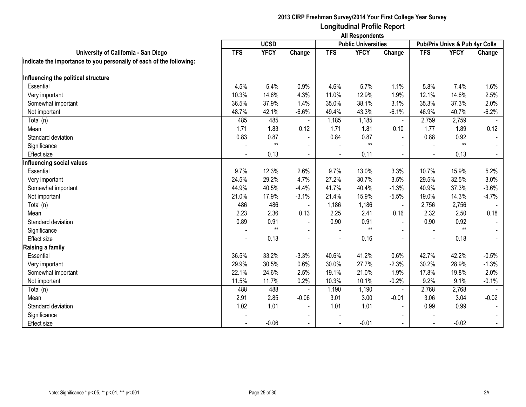|                                                                     | <b>All Respondents</b>                    |             |                          |            |             |                |                |                                |                |  |  |
|---------------------------------------------------------------------|-------------------------------------------|-------------|--------------------------|------------|-------------|----------------|----------------|--------------------------------|----------------|--|--|
|                                                                     | <b>UCSD</b><br><b>Public Universities</b> |             |                          |            |             |                |                | Pub/Priv Univs & Pub 4yr Colls |                |  |  |
| University of California - San Diego                                | <b>TFS</b>                                | <b>YFCY</b> | Change                   | <b>TFS</b> | <b>YFCY</b> | Change         | <b>TFS</b>     | <b>YFCY</b>                    | Change         |  |  |
| Indicate the importance to you personally of each of the following: |                                           |             |                          |            |             |                |                |                                |                |  |  |
|                                                                     |                                           |             |                          |            |             |                |                |                                |                |  |  |
| Influencing the political structure                                 |                                           |             |                          |            |             |                |                |                                |                |  |  |
| Essential                                                           | 4.5%                                      | 5.4%        | 0.9%                     | 4.6%       | 5.7%        | 1.1%           | 5.8%           | 7.4%                           | 1.6%           |  |  |
| Very important                                                      | 10.3%                                     | 14.6%       | 4.3%                     | 11.0%      | 12.9%       | 1.9%           | 12.1%          | 14.6%                          | 2.5%           |  |  |
| Somewhat important                                                  | 36.5%                                     | 37.9%       | 1.4%                     | 35.0%      | 38.1%       | 3.1%           | 35.3%          | 37.3%                          | 2.0%           |  |  |
| Not important                                                       | 48.7%                                     | 42.1%       | $-6.6%$                  | 49.4%      | 43.3%       | $-6.1%$        | 46.9%          | 40.7%                          | $-6.2%$        |  |  |
| Total (n)                                                           | 485                                       | 485         |                          | 1,185      | 1,185       | $\blacksquare$ | 2,759          | 2,759                          |                |  |  |
| Mean                                                                | 1.71                                      | 1.83        | 0.12                     | 1.71       | 1.81        | 0.10           | 1.77           | 1.89                           | 0.12           |  |  |
| Standard deviation                                                  | 0.83                                      | 0.87        | $\sim$                   | 0.84       | 0.87        | $\sim$         | 0.88           | 0.92                           |                |  |  |
| Significance                                                        |                                           | $**$        | $\blacksquare$           |            | $**$        | $\blacksquare$ |                | $**$                           |                |  |  |
| <b>Effect size</b>                                                  |                                           | 0.13        |                          |            | 0.11        | $\blacksquare$ |                | 0.13                           |                |  |  |
| Influencing social values                                           |                                           |             |                          |            |             |                |                |                                |                |  |  |
| Essential                                                           | 9.7%                                      | 12.3%       | 2.6%                     | 9.7%       | 13.0%       | 3.3%           | 10.7%          | 15.9%                          | 5.2%           |  |  |
| Very important                                                      | 24.5%                                     | 29.2%       | 4.7%                     | 27.2%      | 30.7%       | 3.5%           | 29.5%          | 32.5%                          | 3.0%           |  |  |
| Somewhat important                                                  | 44.9%                                     | 40.5%       | $-4.4%$                  | 41.7%      | 40.4%       | $-1.3%$        | 40.9%          | 37.3%                          | $-3.6%$        |  |  |
| Not important                                                       | 21.0%                                     | 17.9%       | $-3.1%$                  | 21.4%      | 15.9%       | $-5.5%$        | 19.0%          | 14.3%                          | $-4.7\%$       |  |  |
| Total (n)                                                           | 486                                       | 486         |                          | 1,186      | 1,186       | $\blacksquare$ | 2,756          | 2,756                          |                |  |  |
| Mean                                                                | 2.23                                      | 2.36        | 0.13                     | 2.25       | 2.41        | 0.16           | 2.32           | 2.50                           | 0.18           |  |  |
| Standard deviation                                                  | 0.89                                      | 0.91        | $\overline{\phantom{a}}$ | 0.90       | 0.91        | $\blacksquare$ | 0.90           | 0.92                           |                |  |  |
| Significance                                                        |                                           | $**$        |                          |            | $**$        |                |                | $**$                           |                |  |  |
| <b>Effect size</b>                                                  |                                           | 0.13        |                          |            | 0.16        | $\sim$         | $\blacksquare$ | 0.18                           | $\blacksquare$ |  |  |
| Raising a family                                                    |                                           |             |                          |            |             |                |                |                                |                |  |  |
| Essential                                                           | 36.5%                                     | 33.2%       | $-3.3%$                  | 40.6%      | 41.2%       | 0.6%           | 42.7%          | 42.2%                          | $-0.5%$        |  |  |
| Very important                                                      | 29.9%                                     | 30.5%       | 0.6%                     | 30.0%      | 27.7%       | $-2.3%$        | 30.2%          | 28.9%                          | $-1.3%$        |  |  |
| Somewhat important                                                  | 22.1%                                     | 24.6%       | 2.5%                     | 19.1%      | 21.0%       | 1.9%           | 17.8%          | 19.8%                          | 2.0%           |  |  |
| Not important                                                       | 11.5%                                     | 11.7%       | 0.2%                     | 10.3%      | 10.1%       | $-0.2%$        | 9.2%           | 9.1%                           | $-0.1%$        |  |  |
| Total (n)                                                           | 488                                       | 488         |                          | 1,190      | 1,190       |                | 2,768          | 2,768                          |                |  |  |
| Mean                                                                | 2.91                                      | 2.85        | $-0.06$                  | 3.01       | 3.00        | $-0.01$        | 3.06           | 3.04                           | $-0.02$        |  |  |
| Standard deviation                                                  | 1.02                                      | 1.01        |                          | 1.01       | 1.01        | $\sim$         | 0.99           | 0.99                           |                |  |  |
| Significance                                                        |                                           |             | $\blacksquare$           |            |             |                |                |                                |                |  |  |
| <b>Effect size</b>                                                  |                                           | $-0.06$     | $\sim$                   |            | $-0.01$     | $\blacksquare$ |                | $-0.02$                        | $\sim$         |  |  |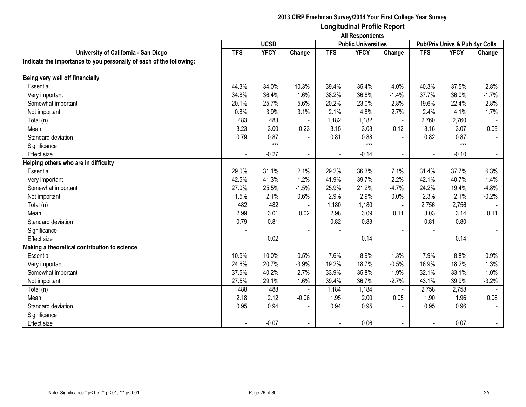|                                                                     | <b>All Respondents</b>                    |             |                          |                |             |                |            |                                |                |  |  |
|---------------------------------------------------------------------|-------------------------------------------|-------------|--------------------------|----------------|-------------|----------------|------------|--------------------------------|----------------|--|--|
|                                                                     | <b>UCSD</b><br><b>Public Universities</b> |             |                          |                |             |                |            | Pub/Priv Univs & Pub 4yr Colls |                |  |  |
| University of California - San Diego                                | <b>TFS</b>                                | <b>YFCY</b> | Change                   | <b>TFS</b>     | <b>YFCY</b> | Change         | <b>TFS</b> | <b>YFCY</b>                    | Change         |  |  |
| Indicate the importance to you personally of each of the following: |                                           |             |                          |                |             |                |            |                                |                |  |  |
| Being very well off financially                                     |                                           |             |                          |                |             |                |            |                                |                |  |  |
| Essential                                                           | 44.3%                                     | 34.0%       | $-10.3%$                 | 39.4%          | 35.4%       | $-4.0%$        | 40.3%      | 37.5%                          | $-2.8%$        |  |  |
| Very important                                                      | 34.8%                                     | 36.4%       | 1.6%                     | 38.2%          | 36.8%       | $-1.4%$        | 37.7%      | 36.0%                          | $-1.7%$        |  |  |
| Somewhat important                                                  | 20.1%                                     | 25.7%       | 5.6%                     | 20.2%          | 23.0%       | 2.8%           | 19.6%      | 22.4%                          | 2.8%           |  |  |
| Not important                                                       | 0.8%                                      | 3.9%        | 3.1%                     | 2.1%           | 4.8%        | 2.7%           | 2.4%       | 4.1%                           | 1.7%           |  |  |
| Total (n)                                                           | 483                                       | 483         |                          | 1,182          | 1,182       |                | 2,760      | 2,760                          |                |  |  |
| Mean                                                                | 3.23                                      | 3.00        | $-0.23$                  | 3.15           | 3.03        | $-0.12$        | 3.16       | 3.07                           | $-0.09$        |  |  |
| Standard deviation                                                  | 0.79                                      | 0.87        | $\blacksquare$           | 0.81           | 0.88        | $\blacksquare$ | 0.82       | 0.87                           |                |  |  |
| Significance                                                        |                                           | $***$       | $\overline{\phantom{a}}$ |                | $***$       |                |            | $***$                          |                |  |  |
| Effect size                                                         |                                           | $-0.27$     | $\sim$                   |                | $-0.14$     |                |            | $-0.10$                        |                |  |  |
| Helping others who are in difficulty                                |                                           |             |                          |                |             |                |            |                                |                |  |  |
| Essential                                                           | 29.0%                                     | 31.1%       | 2.1%                     | 29.2%          | 36.3%       | 7.1%           | 31.4%      | 37.7%                          | 6.3%           |  |  |
| Very important                                                      | 42.5%                                     | 41.3%       | $-1.2%$                  | 41.9%          | 39.7%       | $-2.2%$        | 42.1%      | 40.7%                          | $-1.4%$        |  |  |
| Somewhat important                                                  | 27.0%                                     | 25.5%       | $-1.5%$                  | 25.9%          | 21.2%       | $-4.7%$        | 24.2%      | 19.4%                          | $-4.8%$        |  |  |
| Not important                                                       | 1.5%                                      | 2.1%        | 0.6%                     | 2.9%           | 2.9%        | 0.0%           | 2.3%       | 2.1%                           | $-0.2%$        |  |  |
| Total (n)                                                           | 482                                       | 482         |                          | 1,180          | 1,180       | $\blacksquare$ | 2,756      | 2,756                          |                |  |  |
| Mean                                                                | 2.99                                      | 3.01        | 0.02                     | 2.98           | 3.09        | 0.11           | 3.03       | 3.14                           | 0.11           |  |  |
| Standard deviation                                                  | 0.79                                      | 0.81        | $\blacksquare$           | 0.82           | 0.83        | $\blacksquare$ | 0.81       | 0.80                           | $\sim$         |  |  |
| Significance                                                        |                                           |             |                          |                |             |                |            |                                |                |  |  |
| <b>Effect size</b>                                                  |                                           | 0.02        | $\blacksquare$           | $\overline{a}$ | 0.14        | $\blacksquare$ |            | 0.14                           | $\blacksquare$ |  |  |
| Making a theoretical contribution to science                        |                                           |             |                          |                |             |                |            |                                |                |  |  |
| Essential                                                           | 10.5%                                     | 10.0%       | $-0.5%$                  | 7.6%           | 8.9%        | 1.3%           | 7.9%       | 8.8%                           | 0.9%           |  |  |
| Very important                                                      | 24.6%                                     | 20.7%       | $-3.9%$                  | 19.2%          | 18.7%       | $-0.5%$        | 16.9%      | 18.2%                          | 1.3%           |  |  |
| Somewhat important                                                  | 37.5%                                     | 40.2%       | 2.7%                     | 33.9%          | 35.8%       | 1.9%           | 32.1%      | 33.1%                          | 1.0%           |  |  |
| Not important                                                       | 27.5%                                     | 29.1%       | 1.6%                     | 39.4%          | 36.7%       | $-2.7%$        | 43.1%      | 39.9%                          | $-3.2%$        |  |  |
| Total (n)                                                           | 488                                       | 488         |                          | 1,184          | 1,184       |                | 2,758      | 2,758                          |                |  |  |
| Mean                                                                | 2.18                                      | 2.12        | $-0.06$                  | 1.95           | 2.00        | 0.05           | 1.90       | 1.96                           | 0.06           |  |  |
| Standard deviation                                                  | 0.95                                      | 0.94        | $\overline{\phantom{a}}$ | 0.94           | 0.95        | $\blacksquare$ | 0.95       | 0.96                           |                |  |  |
| Significance                                                        |                                           |             | $\sim$                   |                |             |                |            |                                |                |  |  |
| <b>Effect size</b>                                                  |                                           | $-0.07$     |                          |                | 0.06        | $\blacksquare$ |            | 0.07                           | $\sim$         |  |  |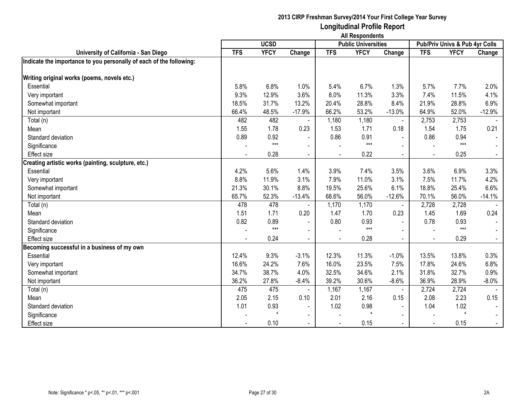|                                                                     | <b>All Respondents</b> |             |                |            |                            |                |            |                                |          |  |  |
|---------------------------------------------------------------------|------------------------|-------------|----------------|------------|----------------------------|----------------|------------|--------------------------------|----------|--|--|
|                                                                     |                        | <b>UCSD</b> |                |            | <b>Public Universities</b> |                |            | Pub/Priv Univs & Pub 4yr Colls |          |  |  |
| University of California - San Diego                                | <b>TFS</b>             | <b>YFCY</b> | Change         | <b>TFS</b> | <b>YFCY</b>                | Change         | <b>TFS</b> | <b>YFCY</b>                    | Change   |  |  |
| Indicate the importance to you personally of each of the following: |                        |             |                |            |                            |                |            |                                |          |  |  |
|                                                                     |                        |             |                |            |                            |                |            |                                |          |  |  |
| Writing original works (poems, novels etc.)                         |                        |             |                |            |                            |                |            |                                |          |  |  |
| Essential                                                           | 5.8%                   | 6.8%        | 1.0%           | 5.4%       | 6.7%                       | 1.3%           | 5.7%       | 7.7%                           | 2.0%     |  |  |
| Very important                                                      | 9.3%                   | 12.9%       | 3.6%           | 8.0%       | 11.3%                      | 3.3%           | 7.4%       | 11.5%                          | 4.1%     |  |  |
| Somewhat important                                                  | 18.5%                  | 31.7%       | 13.2%          | 20.4%      | 28.8%                      | 8.4%           | 21.9%      | 28.8%                          | 6.9%     |  |  |
| Not important                                                       | 66.4%                  | 48.5%       | $-17.9%$       | 66.2%      | 53.2%                      | $-13.0%$       | 64.9%      | 52.0%                          | $-12.9%$ |  |  |
| Total (n)                                                           | 482                    | 482         |                | 1,180      | 1,180                      | $\blacksquare$ | 2,753      | 2,753                          |          |  |  |
| Mean                                                                | 1.55                   | 1.78        | 0.23           | 1.53       | 1.71                       | 0.18           | 1.54       | 1.75                           | 0.21     |  |  |
| Standard deviation                                                  | 0.89                   | 0.92        | $\sim$         | 0.86       | 0.91                       | $\blacksquare$ | 0.86       | 0.94                           |          |  |  |
| Significance                                                        |                        | $***$       | $\blacksquare$ |            | $***$                      | $\blacksquare$ |            | $***$                          |          |  |  |
| <b>Effect size</b>                                                  |                        | 0.28        |                |            | 0.22                       |                |            | 0.25                           |          |  |  |
| Creating artistic works (painting, sculpture, etc.)                 |                        |             |                |            |                            |                |            |                                |          |  |  |
| Essential                                                           | 4.2%                   | 5.6%        | 1.4%           | 3.9%       | 7.4%                       | 3.5%           | 3.6%       | 6.9%                           | 3.3%     |  |  |
| Very important                                                      | 8.8%                   | 11.9%       | 3.1%           | 7.9%       | 11.0%                      | 3.1%           | 7.5%       | 11.7%                          | 4.2%     |  |  |
| Somewhat important                                                  | 21.3%                  | 30.1%       | 8.8%           | 19.5%      | 25.6%                      | 6.1%           | 18.8%      | 25.4%                          | 6.6%     |  |  |
| Not important                                                       | 65.7%                  | 52.3%       | $-13.4%$       | 68.6%      | 56.0%                      | $-12.6%$       | 70.1%      | 56.0%                          | $-14.1%$ |  |  |
| Total (n)                                                           | 478                    | 478         |                | 1,170      | 1,170                      |                | 2,728      | 2,728                          |          |  |  |
| Mean                                                                | 1.51                   | 1.71        | 0.20           | 1.47       | 1.70                       | 0.23           | 1.45       | 1.69                           | 0.24     |  |  |
| Standard deviation                                                  | 0.82                   | 0.89        | $\sim$         | 0.80       | 0.93                       | $\blacksquare$ | 0.78       | 0.93                           |          |  |  |
| Significance                                                        |                        | $***$       | $\sim$         |            | $***$                      | ÷              |            | $***$                          |          |  |  |
| <b>Effect size</b>                                                  |                        | 0.24        | $\sim$         |            | 0.28                       |                |            | 0.29                           |          |  |  |
| Becoming successful in a business of my own                         |                        |             |                |            |                            |                |            |                                |          |  |  |
| Essential                                                           | 12.4%                  | 9.3%        | $-3.1%$        | 12.3%      | 11.3%                      | $-1.0%$        | 13.5%      | 13.8%                          | 0.3%     |  |  |
| Very important                                                      | 16.6%                  | 24.2%       | 7.6%           | 16.0%      | 23.5%                      | 7.5%           | 17.8%      | 24.6%                          | 6.8%     |  |  |
| Somewhat important                                                  | 34.7%                  | 38.7%       | 4.0%           | 32.5%      | 34.6%                      | 2.1%           | 31.8%      | 32.7%                          | 0.9%     |  |  |
| Not important                                                       | 36.2%                  | 27.8%       | $-8.4%$        | 39.2%      | 30.6%                      | $-8.6%$        | 36.9%      | 28.9%                          | $-8.0\%$ |  |  |
| Total (n)                                                           | 475                    | 475         |                | 1,167      | 1,167                      |                | 2,724      | 2,724                          |          |  |  |
| Mean                                                                | 2.05                   | 2.15        | 0.10           | 2.01       | 2.16                       | 0.15           | 2.08       | 2.23                           | 0.15     |  |  |
| Standard deviation                                                  | 1.01                   | 0.93        | $\blacksquare$ | 1.02       | 0.98                       | $\blacksquare$ | 1.04       | 1.02                           |          |  |  |
| Significance                                                        |                        | $\star$     | $\blacksquare$ |            | $\star$                    | $\blacksquare$ |            | $\star$                        |          |  |  |
| <b>Effect size</b>                                                  |                        | 0.10        |                |            | 0.15                       | $\blacksquare$ |            | 0.15                           | $\sim$   |  |  |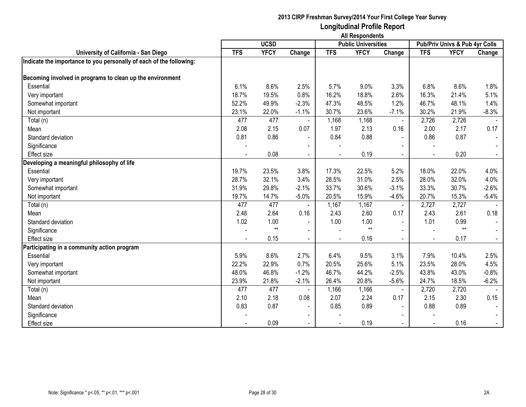|                                                                     | <b>All Respondents</b>                    |             |                |            |             |                          |            |                                |         |  |  |
|---------------------------------------------------------------------|-------------------------------------------|-------------|----------------|------------|-------------|--------------------------|------------|--------------------------------|---------|--|--|
|                                                                     | <b>UCSD</b><br><b>Public Universities</b> |             |                |            |             |                          |            | Pub/Priv Univs & Pub 4yr Colls |         |  |  |
| University of California - San Diego                                | <b>TFS</b>                                | <b>YFCY</b> | Change         | <b>TFS</b> | <b>YFCY</b> | Change                   | <b>TFS</b> | <b>YFCY</b>                    | Change  |  |  |
| Indicate the importance to you personally of each of the following: |                                           |             |                |            |             |                          |            |                                |         |  |  |
|                                                                     |                                           |             |                |            |             |                          |            |                                |         |  |  |
| Becoming involved in programs to clean up the environment           |                                           |             |                |            |             |                          |            |                                |         |  |  |
| Essential                                                           | 6.1%                                      | 8.6%        | 2.5%           | 5.7%       | 9.0%        | 3.3%                     | 6.8%       | 8.6%                           | 1.8%    |  |  |
| Very important                                                      | 18.7%                                     | 19.5%       | 0.8%           | 16.2%      | 18.8%       | 2.6%                     | 16.3%      | 21.4%                          | 5.1%    |  |  |
| Somewhat important                                                  | 52.2%                                     | 49.9%       | $-2.3%$        | 47.3%      | 48.5%       | 1.2%                     | 46.7%      | 48.1%                          | 1.4%    |  |  |
| Not important                                                       | 23.1%                                     | 22.0%       | $-1.1%$        | 30.7%      | 23.6%       | $-7.1%$                  | 30.2%      | 21.9%                          | $-8.3%$ |  |  |
| Total (n)                                                           | 477                                       | 477         |                | 1,168      | 1,168       | $\sim$                   | 2,726      | 2,726                          |         |  |  |
| Mean                                                                | 2.08                                      | 2.15        | 0.07           | 1.97       | 2.13        | 0.16                     | 2.00       | 2.17                           | 0.17    |  |  |
| Standard deviation                                                  | 0.81                                      | 0.86        | $\sim$         | 0.84       | 0.88        | $\blacksquare$           | 0.86       | 0.87                           | $\sim$  |  |  |
| Significance                                                        |                                           |             | $\blacksquare$ |            |             | $\blacksquare$           |            |                                |         |  |  |
| <b>Effect size</b>                                                  |                                           | 0.08        | $\sim$         |            | 0.19        |                          |            | 0.20                           |         |  |  |
| Developing a meaningful philosophy of life                          |                                           |             |                |            |             |                          |            |                                |         |  |  |
| Essential                                                           | 19.7%                                     | 23.5%       | 3.8%           | 17.3%      | 22.5%       | 5.2%                     | 18.0%      | 22.0%                          | 4.0%    |  |  |
| Very important                                                      | 28.7%                                     | 32.1%       | 3.4%           | 28.5%      | 31.0%       | 2.5%                     | 28.0%      | 32.0%                          | 4.0%    |  |  |
| Somewhat important                                                  | 31.9%                                     | 29.8%       | $-2.1%$        | 33.7%      | 30.6%       | $-3.1%$                  | 33.3%      | 30.7%                          | $-2.6%$ |  |  |
| Not important                                                       | 19.7%                                     | 14.7%       | $-5.0%$        | 20.5%      | 15.9%       | $-4.6%$                  | 20.7%      | 15.3%                          | $-5.4%$ |  |  |
| Total (n)                                                           | 477                                       | 477         | $\sim$         | 1,167      | 1,167       | $\mathbf{r}$             | 2,727      | 2,727                          |         |  |  |
| Mean                                                                | 2.48                                      | 2.64        | 0.16           | 2.43       | 2.60        | 0.17                     | 2.43       | 2.61                           | 0.18    |  |  |
| Standard deviation                                                  | 1.02                                      | 1.00        | $\blacksquare$ | 1.00       | 1.00        | $\blacksquare$           | 1.01       | 0.99                           | $\sim$  |  |  |
| Significance                                                        |                                           | $**$        | $\blacksquare$ |            | $**$        |                          |            | $**$                           |         |  |  |
| <b>Effect size</b>                                                  |                                           | 0.15        | $\blacksquare$ |            | 0.16        |                          |            | 0.17                           | $\sim$  |  |  |
| Participating in a community action program                         |                                           |             |                |            |             |                          |            |                                |         |  |  |
| Essential                                                           | 5.9%                                      | 8.6%        | 2.7%           | 6.4%       | 9.5%        | 3.1%                     | 7.9%       | 10.4%                          | 2.5%    |  |  |
| Very important                                                      | 22.2%                                     | 22.9%       | 0.7%           | 20.5%      | 25.6%       | 5.1%                     | 23.5%      | 28.0%                          | 4.5%    |  |  |
| Somewhat important                                                  | 48.0%                                     | 46.8%       | $-1.2%$        | 46.7%      | 44.2%       | $-2.5%$                  | 43.8%      | 43.0%                          | $-0.8%$ |  |  |
| Not important                                                       | 23.9%                                     | 21.8%       | $-2.1%$        | 26.4%      | 20.8%       | $-5.6%$                  | 24.7%      | 18.5%                          | $-6.2%$ |  |  |
| Total (n)                                                           | 477                                       | 477         |                | 1,166      | 1,166       |                          | 2,720      | 2,720                          |         |  |  |
| Mean                                                                | 2.10                                      | 2.18        | 0.08           | 2.07       | 2.24        | 0.17                     | 2.15       | 2.30                           | 0.15    |  |  |
| Standard deviation                                                  | 0.83                                      | 0.87        | $\blacksquare$ | 0.85       | 0.89        | $\blacksquare$           | 0.88       | 0.89                           |         |  |  |
| Significance                                                        |                                           |             | $\blacksquare$ |            |             |                          |            |                                |         |  |  |
| <b>Effect size</b>                                                  |                                           | 0.09        | $\blacksquare$ |            | 0.19        | $\overline{\phantom{0}}$ |            | 0.16                           | $\sim$  |  |  |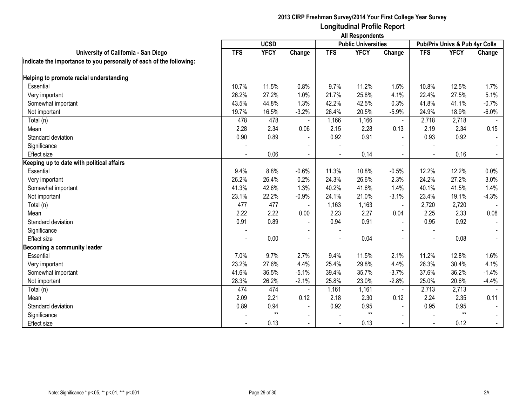|                                                                     | <b>All Respondents</b>                    |             |                |                          |             |                          |            |                                |                |  |
|---------------------------------------------------------------------|-------------------------------------------|-------------|----------------|--------------------------|-------------|--------------------------|------------|--------------------------------|----------------|--|
|                                                                     | <b>UCSD</b><br><b>Public Universities</b> |             |                |                          |             |                          |            | Pub/Priv Univs & Pub 4yr Colls |                |  |
| University of California - San Diego                                | <b>TFS</b>                                | <b>YFCY</b> | Change         | <b>TFS</b>               | <b>YFCY</b> | Change                   | <b>TFS</b> | <b>YFCY</b>                    | Change         |  |
| Indicate the importance to you personally of each of the following: |                                           |             |                |                          |             |                          |            |                                |                |  |
|                                                                     |                                           |             |                |                          |             |                          |            |                                |                |  |
| Helping to promote racial understanding                             |                                           |             |                |                          |             |                          |            |                                |                |  |
| Essential                                                           | 10.7%                                     | 11.5%       | 0.8%           | 9.7%                     | 11.2%       | 1.5%                     | 10.8%      | 12.5%                          | 1.7%           |  |
| Very important                                                      | 26.2%                                     | 27.2%       | 1.0%           | 21.7%                    | 25.8%       | 4.1%                     | 22.4%      | 27.5%                          | 5.1%           |  |
| Somewhat important                                                  | 43.5%                                     | 44.8%       | 1.3%           | 42.2%                    | 42.5%       | 0.3%                     | 41.8%      | 41.1%                          | $-0.7%$        |  |
| Not important                                                       | 19.7%                                     | 16.5%       | $-3.2%$        | 26.4%                    | 20.5%       | $-5.9%$                  | 24.9%      | 18.9%                          | $-6.0\%$       |  |
| Total (n)                                                           | 478                                       | 478         |                | 1,166                    | 1,166       | $\blacksquare$           | 2,718      | 2,718                          |                |  |
| Mean                                                                | 2.28                                      | 2.34        | 0.06           | 2.15                     | 2.28        | 0.13                     | 2.19       | 2.34                           | 0.15           |  |
| Standard deviation                                                  | 0.90                                      | 0.89        | $\sim$         | 0.92                     | 0.91        | $\sim$                   | 0.93       | 0.92                           |                |  |
| Significance                                                        |                                           |             |                |                          |             | $\overline{\phantom{a}}$ |            |                                |                |  |
| <b>Effect size</b>                                                  |                                           | 0.06        |                |                          | 0.14        | $\blacksquare$           |            | 0.16                           |                |  |
| Keeping up to date with political affairs                           |                                           |             |                |                          |             |                          |            |                                |                |  |
| Essential                                                           | 9.4%                                      | 8.8%        | $-0.6%$        | 11.3%                    | 10.8%       | $-0.5%$                  | 12.2%      | 12.2%                          | 0.0%           |  |
| Very important                                                      | 26.2%                                     | 26.4%       | 0.2%           | 24.3%                    | 26.6%       | 2.3%                     | 24.2%      | 27.2%                          | 3.0%           |  |
| Somewhat important                                                  | 41.3%                                     | 42.6%       | 1.3%           | 40.2%                    | 41.6%       | 1.4%                     | 40.1%      | 41.5%                          | 1.4%           |  |
| Not important                                                       | 23.1%                                     | 22.2%       | $-0.9%$        | 24.1%                    | 21.0%       | $-3.1%$                  | 23.4%      | 19.1%                          | $-4.3%$        |  |
| Total (n)                                                           | 477                                       | 477         |                | 1,163                    | 1,163       | $\blacksquare$           | 2,720      | 2,720                          |                |  |
| Mean                                                                | 2.22                                      | 2.22        | 0.00           | 2.23                     | 2.27        | 0.04                     | 2.25       | 2.33                           | 0.08           |  |
| Standard deviation                                                  | 0.91                                      | 0.89        |                | 0.94                     | 0.91        | $\sim$                   | 0.95       | 0.92                           |                |  |
| Significance                                                        |                                           |             |                |                          |             |                          |            |                                |                |  |
| <b>Effect size</b>                                                  |                                           | 0.00        |                |                          | 0.04        | $\sim$                   |            | 0.08                           | $\blacksquare$ |  |
| <b>Becoming a community leader</b>                                  |                                           |             |                |                          |             |                          |            |                                |                |  |
| Essential                                                           | 7.0%                                      | 9.7%        | 2.7%           | 9.4%                     | 11.5%       | 2.1%                     | 11.2%      | 12.8%                          | 1.6%           |  |
| Very important                                                      | 23.2%                                     | 27.6%       | 4.4%           | 25.4%                    | 29.8%       | 4.4%                     | 26.3%      | 30.4%                          | 4.1%           |  |
| Somewhat important                                                  | 41.6%                                     | 36.5%       | $-5.1%$        | 39.4%                    | 35.7%       | $-3.7%$                  | 37.6%      | 36.2%                          | $-1.4%$        |  |
| Not important                                                       | 28.3%                                     | 26.2%       | $-2.1%$        | 25.8%                    | 23.0%       | $-2.8%$                  | 25.0%      | 20.6%                          | $-4.4%$        |  |
| Total (n)                                                           | 474                                       | 474         |                | 1,161                    | 1,161       | $\blacksquare$           | 2,713      | 2,713                          |                |  |
| Mean                                                                | 2.09                                      | 2.21        | 0.12           | 2.18                     | 2.30        | 0.12                     | 2.24       | 2.35                           | 0.11           |  |
| Standard deviation                                                  | 0.89                                      | 0.94        |                | 0.92                     | 0.95        | $\sim$                   | 0.95       | 0.95                           |                |  |
| Significance                                                        |                                           | $**$        | $\blacksquare$ |                          | $**$        |                          |            | $**$                           |                |  |
| <b>Effect size</b>                                                  |                                           | 0.13        | $\blacksquare$ | $\overline{\phantom{a}}$ | 0.13        | $\blacksquare$           |            | 0.12                           | $\sim$         |  |